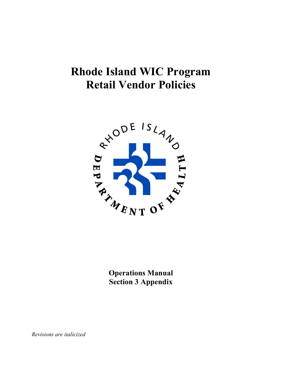# **Rhode Island WIC Program Retail Vendor Policies**



**Operations Manual Section 3 Appendix**

*Revisions are italicized*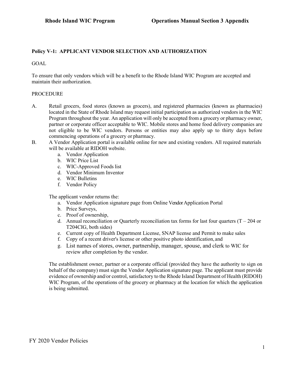# **Policy V-1: APPLICANT VENDOR SELECTION AND AUTHORIZATION**

GOAL

To ensure that only vendors which will be a benefit to the Rhode Island WIC Program are accepted and maintain their authorization.

#### PROCEDURE

- A. Retail grocers, food stores (known as grocers), and registered pharmacies (known as pharmacies) located in the State of Rhode Island may request initial participation as authorized vendors in the WIC Program throughout the year. An application will only be accepted from a grocery or pharmacy owner, partner or corporate officer acceptable to WIC. Mobile stores and home food delivery companies are not eligible to be WIC vendors. Persons or entities may also apply up to thirty days before commencing operations of a grocery or pharmacy.
- B. A Vendor Application portal is available online for new and existing vendors. All required materials will be available at RIDOH website.
	- a. Vendor Application
	- b. WIC Price List
	- c. WIC-Approved Foods list
	- d. Vendor Minimum Inventor
	- e. WIC Bulletins
	- f. Vendor Policy

The applicant vendor returns the:

- a. Vendor Application signature page from Online Vendor Application Portal
- b. Price Surveys,
- c. Proof of ownership,
- d. Annual reconciliation or Quarterly reconciliation tax forms for last four quarters  $(T 204)$  or T204CIG, both sides)
- e. Current copy of Health Department License, SNAP license and Permit to make sales
- f. Copy of a recent driver's license or other positive photo identification, and
- g. List names of stores, owner, partnership, manager, spouse, and clerk to WIC for review after completion by the vendor.

The establishment owner, partner or a corporate official (provided they have the authority to sign on behalf of the company) must sign the Vendor Application signature page. The applicant must provide evidence of ownership and/or control, satisfactory to the Rhode Island Department of Health (RIDOH) WIC Program, of the operations of the grocery or pharmacy at the location for which the application is being submitted.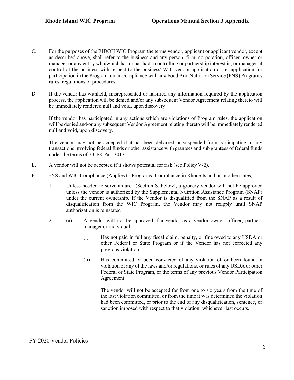- C. For the purposes of the RIDOH WIC Program the terms vendor, applicant or applicant vendor, except as described above, shall refer to the business and any person, firm, corporation, officer, owner or manager or any entity who/which has or has had a controlling or partnership interest in, or managerial control of the business with respect to the business' WIC vendor application or re- application for participation in the Program and in compliance with any Food And Nutrition Service (FNS) Program's rules, regulations or procedures.
- D. If the vendor has withheld, misrepresented or falsified any information required by the application process, the application will be denied and/or any subsequent Vendor Agreement relating thereto will be immediately rendered null and void, upon discovery.

If the vendor has participated in any actions which are violations of Program rules, the application will be denied and/or any subsequent Vendor Agreement relating thereto will be immediately rendered null and void, upon discovery.

The vendor may not be accepted if it has been debarred or suspended from participating in any transactions involving federal funds or other assistance with grantees and sub grantees of federal funds under the terms of 7 CFR Part 3017.

- E. A vendor will not be accepted if it shows potential for risk (see Policy V-2).
- F. FNS and WIC Compliance (Applies to Programs' Compliance in Rhode Island or in otherstates)
	- 1. Unless needed to serve an area (Section S, below), a grocery vendor will not be approved unless the vendor is authorized by the Supplemental Nutrition Assistance Program (SNAP) under the current ownership. If the Vendor is disqualified from the SNAP as a result of disqualification from the WIC Program, the Vendor may not reapply until SNAP authorization is reinstated
	- 2. (a) A vendor will not be approved if a vendor as a vendor owner, officer, partner, manager or individual:
		- (i) Has not paid in full any fiscal claim, penalty, or fine owed to any USDA or other Federal or State Program or if the Vendor has not corrected any previous violation.
		- (ii) Has committed or been convicted of any violation of or been found in violation of any of the laws and/or regulations, or rules of any USDA or other Federal or State Program, or the terms of any previous Vendor Participation Agreement.

The vendor will not be accepted for from one to six years from the time of the last violation committed, or from the time it was determined the violation had been committed, or prior to the end of any disqualification, sentence, or sanction imposed with respect to that violation; whichever last occurs.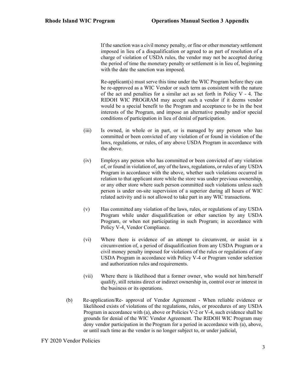If the sanction was a civil money penalty, or fine or other monetary settlement imposed in lieu of a disqualification or agreed to as part of resolution of a charge of violation of USDA rules, the vendor may not be accepted during the period of time the monetary penalty or settlement is in lieu of, beginning with the date the sanction was imposed.

Re-applicant(s) must serve this time under the WIC Program before they can be re-approved as a WIC Vendor or such term as consistent with the nature of the act and penalties for a similar act as set forth in Policy V - 4. The RIDOH WIC PROGRAM may accept such a vendor if it deems vendor would be a special benefit to the Program and acceptance to be in the best interests of the Program, and impose an alternative penalty and/or special conditions of participation in lieu of denial of participation.

- (iii) Is owned, in whole or in part, or is managed by any person who has committed or been convicted of any violation of or found in violation of the laws, regulations, or rules, of any above USDA Program in accordance with the above.
- (iv) Employs any person who has committed or been convicted of any violation of, or found in violation of, any of the laws, regulations, or rules of any USDA Program in accordance with the above, whether such violations occurred in relation to that applicant store while the store was under previous ownership, or any other store where such person committed such violations unless such person is under on-site supervision of a superior during all hours of WIC related activity and is not allowed to take part in any WIC transactions.
- (v) Has committed any violation of the laws, rules, or regulations of any USDA Program while under disqualification or other sanction by any USDA Program, or when not participating in such Program; in accordance with Policy V-4, Vendor Compliance.
- (vi) Where there is evidence of an attempt to circumvent, or assist in a circumvention of, a period of disqualification from any USDA Program or a civil money penalty imposed for violations of the rules or regulations of any USDA Program in accordance with Policy V-4 or Program vendor selection and authorization rules and requirements.
- (vii) Where there is likelihood that a former owner, who would not him/herself qualify, still retains direct or indirect ownership in, control over or interest in the business or its operations.
- (b) Re-application/Re- approval of Vendor Agreement When reliable evidence or likelihood exists of violations of the regulations, rules, or procedures of any USDA Program in accordance with (a), above or Policies V-2 or V-4, such evidence shall be grounds for denial of the WIC Vendor Agreement. The RIDOH WIC Program may deny vendor participation in the Program for a period in accordance with (a), above, or until such time as the vendor is no longer subject to, or under judicial,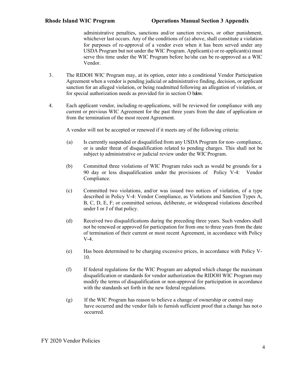administrative penalties, sanctions and/or sanction reviews, or other punishment, whichever last occurs. Any of the conditions of (a) above, shall constitute a violation for purposes of re-approval of a vendor even when it has been served under any USDA Program but not under the WIC Program. Applicant(s) or re-applicant(s) must serve this time under the WIC Program before he/she can be re-approved as a WIC Vendor.

- 3. The RIDOH WIC Program may, at its option, enter into a conditional Vendor Participation Agreement when a vendor is pending judicial or administrative finding, decision, or applicant sanction for an alleged violation, or being readmitted following an allegation of violation, or for special authorization needs as provided for in section O below.
- 4. Each applicant vendor, including re-applications, will be reviewed for compliance with any current or previous WIC Agreement for the past three years from the date of application or from the termination of the most recent Agreement.

A vendor will not be accepted or renewed if it meets any of the following criteria:

- (a) Is currently suspended or disqualified from any USDA Program for non- compliance, or is under threat of disqualification related to pending charges. This shall not be subject to administrative or judicial review under the WIC Program.
- (b) Committed three violations of WIC Program rules such as would be grounds for a 90 day or less disqualification under the provisions of Policy V-4: Vendor Compliance.
- (c) Committed two violations, and/or was issued two notices of violation, of a type described in Policy V-4: Vendor Compliance, as Violations and Sanction Types A, B, C, D, E, F; or committed serious, deliberate, or widespread violations described under I or J of that policy.
- (d) Received two disqualifications during the preceding three years. Such vendors shall not be renewed or approved for participation for from one to three years from the date of termination of their current or most recent Agreement, in accordance with Policy V-4.
- (e) Has been determined to be charging excessive prices, in accordance with Policy V-10.
- (f) If federal regulations for the WIC Program are adopted which change the maximum disqualification or standards for vendor authorization the RIDOH WIC Program may modify the terms of disqualification or non-approval for participation in accordance with the standards set forth in the new federal regulations.
- (g) If the WIC Program has reason to believe a change of ownership or control may have occurred and the vendor fails to furnish sufficient proof that a change has not o occurred.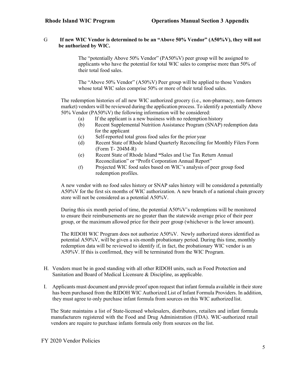#### G **If new WIC Vendor is determined to be an "Above 50% Vendor" (A50%V), they will not be authorized by WIC.**

The "potentially Above 50% Vendor" (PA50%V) peer group will be assigned to applicants who have the potential for total WIC sales to comprise more than 50% of their total food sales.

The "Above 50% Vendor" (A50%V) Peer group will be applied to those Vendors whose total WIC sales comprise 50% or more of their total food sales.

The redemption histories of all new WIC authorized grocery (i.e., non-pharmacy, non-farmers market) vendors will be reviewed during the application process. To identify a potentially Above 50% Vendor (PA50%V) the following information will be considered:

- (a) If the applicant is a new business with no redemption history
- (b) Recent Supplemental Nutrition Assistance Program (SNAP) redemption data for the applicant
- (c) Self-reported total gross food sales for the prior year
- (d) Recent State of Rhode Island Quarterly Reconciling for Monthly Filers Form (Form T- 204M-R)
- (e) Recent State of Rhode Island **"**Sales and Use Tax Return Annual Reconciliation" or "Profit Corporation Annual Report"
- (f) Projected WIC food sales based on WIC's analysis of peer group food redemption profiles.

A new vendor with no food sales history or SNAP sales history will be considered a potentially A50%V for the first six months of WIC authorization. A new branch of a national chain grocery store will not be considered as a potential A50%V.

During this six month period of time, the potential A50%V's redemptions will be monitored to ensure their reimbursements are no greater than the statewide average price of their peer group, or the maximum allowed price for their peer group (whichever is the lower amount).

The RIDOH WIC Program does not authorize A50%V. Newly authorized stores identified as potential A50%V, will be given a six-month probationary period. During this time, monthly redemption data will be reviewed to identify if, in fact, the probationary WIC vendor is an A50%V. If this is confirmed, they will be terminated from the WIC Program.

- H. Vendors must be in good standing with all other RIDOH units, such as Food Protection and Sanitation and Board of Medical Licensure & Discipline, as applicable.
- I. Applicants must document and provide proof upon request that infant formula available in their store has been purchased from the RIDOH WIC Authorized List of Infant Formula Providers. In addition, they must agree to only purchase infant formula from sources on this WIC authorized list.

The State maintains a list of State-licensed wholesalers, distributors, retailers and infant formula manufacturers registered with the Food and Drug Administration (FDA). WIC-authorized retail vendors are require to purchase infants formula only from sources on the list.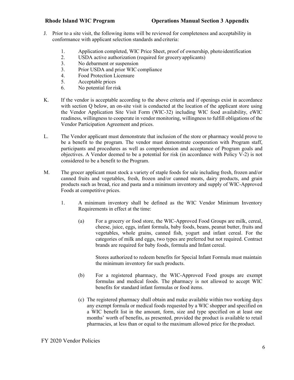- J. Prior to a site visit, the following items will be reviewed for completeness and acceptability in conformance with applicant selection standards and criteria:
	- 1. Application completed, WIC Price Sheet, proof of ownership, photoidentification
	- 2. USDA active authorization (required for grocery applicants)<br>3. No debarment or suspension
	- No debarment or suspension
	- 3. Prior USDA and prior WIC compliance
	- 4. Food Protection Licensure
	- 5. Acceptable prices
	- 6. No potential for risk
- K. If the vendor is acceptable according to the above criteria and if openings exist in accordance with section Q below, an on-site visit is conducted at the location of the applicant store using the Vendor Application Site Visit Form (WIC-32) including WIC food availability, eWIC readiness, willingness to cooperate in vendor monitoring, willingness to fulfill obligations of the Vendor Participation Agreement and prices.
- L. The Vendor applicant must demonstrate that inclusion of the store or pharmacy would prove to be a benefit to the program. The vendor must demonstrate cooperation with Program staff, participants and procedures as well as comprehension and acceptance of Program goals and objectives. A Vendor deemed to be a potential for risk (in accordance with Policy V-2) is not considered to be a benefit to the Program.
- M. The grocer applicant must stock a variety of staple foods for sale including fresh, frozen and/or canned fruits and vegetables, fresh, frozen and/or canned meats, dairy products, and grain products such as bread, rice and pasta and a minimum inventory and supply of WIC-Approved Foods at competitive prices.
	- 1. A minimum inventory shall be defined as the WIC Vendor Minimum Inventory Requirements in effect at the time:
		- (a) For a grocery or food store, the WIC-Approved Food Groups are milk, cereal, cheese, juice, eggs, infant formula, baby foods, beans, peanut butter, fruits and vegetables, whole grains, canned fish, yogurt and infant cereal. For the categories of milk and eggs, two types are preferred but not required. Contract brands are required for baby foods, formula and Infant cereal.

Stores authorized to redeem benefits for Special Infant Formula must maintain the minimum inventory for such products.

- (b) For a registered pharmacy, the WIC-Approved Food groups are exempt formulas and medical foods. The pharmacy is not allowed to accept WIC benefits for standard infant formulas or food items.
- (c) The registered pharmacy shall obtain and make available within two working days any exempt formula or medical foods requested by a WIC shopper and specified on a WIC benefit list in the amount, form, size and type specified on at least one months' worth of benefits, as presented, provided the product is available to retail pharmacies, at less than or equal to the maximum allowed price for the product.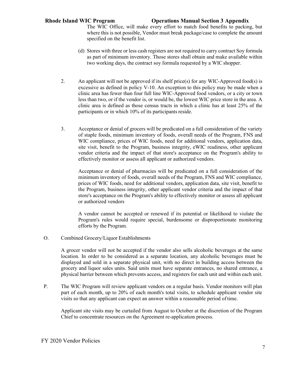The WIC Office, will make every effort to match food benefits to packing, but where this is not possible, Vendor must break package/case to complete the amount specified on the benefit list.

- (d) Stores with three or less cash registers are not required to carry contract Soy formula as part of minimum inventory. Those stores shall obtain and make available within two working days, the contract soy formula requested by a WIC shopper.
- 2. An applicant will not be approved if its shelf price(s) for any WIC-Approved food(s) is excessive as defined in policy V-10. An exception to this policy may be made when a clinic area has fewer than four full line WIC-Approved food vendors, or a city or town less than two, or if the vendor is, or would be, the lowest WIC price store in the area. A clinic area is defined as those census tracts in which a clinic has at least 25% of the participants or in which 10% of its participants reside.
- 3. Acceptance or denial of grocers will be predicated on a full consideration of the variety of staple foods, minimum inventory of foods, overall needs of the Program, FNS and WIC compliance, prices of WIC foods, need for additional vendors, application data, site visit, benefit to the Program, business integrity, eWIC readiness, other applicant vendor criteria and the impact of that store's acceptance on the Program's ability to effectively monitor or assess all applicant or authorized vendors.

Acceptance or denial of pharmacies will be predicated on a full consideration of the minimum inventory of foods, overall needs of the Program, FNS and WIC compliance, prices of WIC foods, need for additional vendors, application data, site visit, benefit to the Program, business integrity, other applicant vendor criteria and the impact of that store's acceptance on the Program's ability to effectively monitor or assess all applicant or authorized vendors

A vendor cannot be accepted or renewed if its potential or likelihood to violate the Program's rules would require special, burdensome or disproportionate monitoring efforts by the Program.

O. Combined Grocery/Liquor Establishments

A grocer vendor will not be accepted if the vendor also sells alcoholic beverages at the same location. In order to be considered as a separate location, any alcoholic beverages must be displayed and sold in a separate physical unit, with no direct in building access between the grocery and liquor sales units. Said units must have separate entrances, no shared entrance, a physical barrier between which prevents access, and registers for each unit and within each unit.

P. The WIC Program will review applicant vendors on a regular basis. Vendor monitors will plan part of each month, up to 20% of each month's total visits, to schedule applicant vendor site visits so that any applicant can expect an answer within a reasonable period oftime.

Applicant site visits may be curtailed from August to October at the discretion of the Program Chief to concentrate resources on the Agreement re-application process.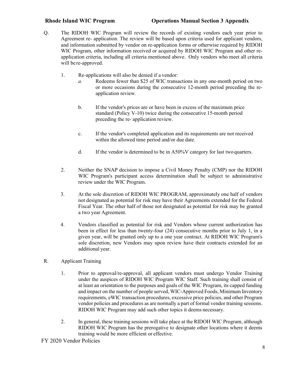- Q. The RIDOH WIC Program will review the records of existing vendors each year prior to Agreement re- application. The review will be based upon criteria used for applicant vendors, and information submitted by vendor on re-application forms or otherwise required by RIDOH WIC Program, other information received or acquired by RIDOH WIC Program and other reapplication criteria, including all criteria mentioned above. Only vendors who meet all criteria will be re-approved.
	- 1. Re-applications will also be denied if a vendor:
		- *a.* Redeems fewer than \$25 of WIC transactions in any one-month period on two or more occasions during the consecutive 12-month period preceding the reapplication review*.*
		- b. If the vendor's prices are or have been in excess of the maximum price standard (Policy V-10) twice during the consecutive 15-month period preceding the re- application review.
		- c. If the vendor's completed application and its requirements are not received within the allowed time period and/or due date.
		- d. If the vendor is determined to be in A50%V category for last two quarters.
	- 2. Neither the SNAP decision to impose a Civil Money Penalty (CMP) nor the RIDOH WIC Program's participant access determination shall be subject to administrative review under the WIC Program.
	- 3. At the sole discretion of RIDOH WIC PROGRAM, approximately one half of vendors not designated as potential for risk may have their Agreements extended for the Federal Fiscal Year. The other half of those not designated as potential for risk may be granted a two year Agreement.
	- 4. Vendors classified as potential for risk and Vendors whose current authorization has been in effect for less than twenty-four (24) consecutive months prior to July 1, in a given year, will be granted only up to a one year contract. At RIDOH WIC Program's sole discretion, new Vendors may upon review have their contracts extended for an additional year.
- R. Applicant Training
	- 1. Prior to approval/re-approval, all applicant vendors must undergo Vendor Training under the auspices of RIDOH WIC Program WIC Staff. Such training shall consist of at least an orientation to the purposes and goals of the WIC Program, its capped funding and impact on the number of people served, WIC-Approved Foods, Minimum Inventory requirements, eWIC transaction procedures, excessive price policies, and other Program vendor policies and procedures as are normally a part of formal vendor training sessions. RIDOH WIC Program may add such other topics it deems necessary.
	- 2. In general, these training sessions will take place at the RIDOH WIC Program, although RIDOH WIC Program has the prerogative to designate other locations where it deems training would be more efficient or effective.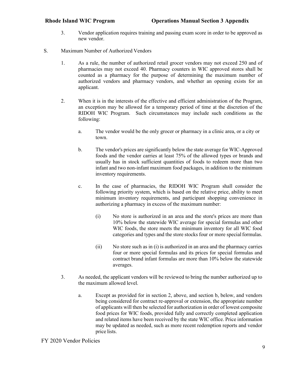- 3. Vendor application requires training and passing exam score in order to be approved as new vendor.
- S. Maximum Number of Authorized Vendors
	- 1. As a rule, the number of authorized retail grocer vendors may not exceed 250 and of pharmacies may not exceed 40. Pharmacy counters in WIC approved stores shall be counted as a pharmacy for the purpose of determining the maximum number of authorized vendors and pharmacy vendors, and whether an opening exists for an applicant.
	- 2. When it is in the interests of the effective and efficient administration of the Program, an exception may be allowed for a temporary period of time at the discretion of the RIDOH WIC Program. Such circumstances may include such conditions as the following:
		- a. The vendor would be the only grocer or pharmacy in a clinic area, or a city or town.
		- b. The vendor's prices are significantly below the state average for WIC-Approved foods and the vendor carries at least 75% of the allowed types or brands and usually has in stock sufficient quantities of foods to redeem more than two infant and two non-infant maximum food packages, in addition to the minimum inventory requirements.
		- c. In the case of pharmacies, the RIDOH WIC Program shall consider the following priority system, which is based on the relative price, ability to meet minimum inventory requirements, and participant shopping convenience in authorizing a pharmacy in excess of the maximum number:
			- (i) No store is authorized in an area and the store's prices are more than 10% below the statewide WIC average for special formulas and other WIC foods, the store meets the minimum inventory for all WIC food categories and types and the store stocks four or more special formulas.
			- (ii) No store such as in (i) is authorized in an area and the pharmacy carries four or more special formulas and its prices for special formulas and contract brand infant formulas are more than 10% below the statewide averages.
	- 3. As needed, the applicant vendors will be reviewed to bring the number authorized up to the maximum allowed level.
		- a. Except as provided for in section 2, above, and section b, below, and vendors being considered for contract re-approval or extension, the appropriate number of applicants will then be selected for authorization in order of lowest composite food prices for WIC foods, provided fully and correctly completed application and related items have been received by the state WIC office. Price information may be updated as needed, such as more recent redemption reports and vendor price lists.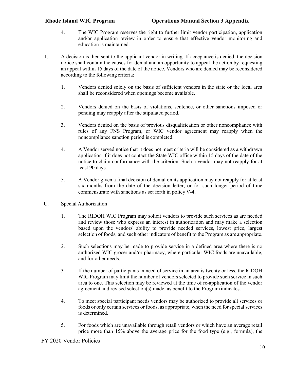- 4. The WIC Program reserves the right to further limit vendor participation, application and/or application review in order to ensure that effective vendor monitoring and education is maintained.
- T. A decision is then sent to the applicant vendor in writing. If acceptance is denied, the decision notice shall contain the causes for denial and an opportunity to appeal the action by requesting an appeal within 15 days of the date of the notice. Vendors who are denied may be reconsidered according to the following criteria:
	- 1. Vendors denied solely on the basis of sufficient vendors in the state or the local area shall be reconsidered when openings become available.
	- 2. Vendors denied on the basis of violations, sentence, or other sanctions imposed or pending may reapply after the stipulated period.
	- 3. Vendors denied on the basis of previous disqualification or other noncompliance with rules of any FNS Program, or WIC vendor agreement may reapply when the noncompliance sanction period is completed.
	- 4. A Vendor served notice that it does not meet criteria will be considered as a withdrawn application if it does not contact the State WIC office within 15 days of the date of the notice to claim conformance with the criterion. Such a vendor may not reapply for at least 90 days.
	- 5. A Vendor given a final decision of denial on its application may not reapply for at least six months from the date of the decision letter, or for such longer period of time commensurate with sanctions as set forth in policy V-4.
- U. Special Authorization
	- 1. The RIDOH WIC Program may solicit vendors to provide such services as are needed and review those who express an interest in authorization and may make a selection based upon the vendors' ability to provide needed services, lowest price, largest selection of foods, and such other indicators of benefit to the Program as are appropriate.
	- 2. Such selections may be made to provide service in a defined area where there is no authorized WIC grocer and/or pharmacy, where particular WIC foods are unavailable, and for other needs.
	- 3. If the number of participants in need of service in an area is twenty or less, the RIDOH WIC Program may limit the number of vendors selected to provide such service in such area to one. This selection may be reviewed at the time of re-application of the vendor agreement and revised selection(s) made, as benefit to the Programindicates.
	- 4. To meet special participant needs vendors may be authorized to provide all services or foods or only certain services or foods, as appropriate, when the need for special services is determined.
	- 5. For foods which are unavailable through retail vendors or which have an average retail price more than 15% above the average price for the food type (e.g., formula), the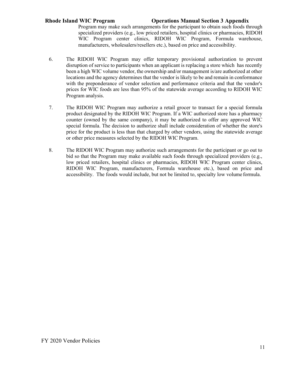Program may make such arrangements for the participant to obtain such foods through specialized providers (e.g., low priced retailers, hospital clinics or pharmacies, RIDOH WIC Program center clinics, RIDOH WIC Program, Formula warehouse, manufacturers, wholesalers/resellers etc.), based on price and accessibility.

- 6. The RIDOH WIC Program may offer temporary provisional authorization to prevent disruption of service to participants when an applicant is replacing a store which has recently been a high WIC volume vendor, the ownership and/or management is/are authorized at other locations and the agency determines that the vendor is likely to be and remain in conformance with the preponderance of vendor selection and performance criteria and that the vendor's prices for WIC foods are less than 95% of the statewide average according to RIDOH WIC Program analysis.
- 7. The RIDOH WIC Program may authorize a retail grocer to transact for a special formula product designated by the RIDOH WIC Program. If a WIC authorized store has a pharmacy counter (owned by the same company), it may be authorized to offer any approved WIC special formula. The decision to authorize shall include consideration of whether the store's price for the product is less than that charged by other vendors, using the statewide average or other price measures selected by the RIDOH WIC Program.
- 8. The RIDOH WIC Program may authorize such arrangements for the participant or go out to bid so that the Program may make available such foods through specialized providers (e.g., low priced retailers, hospital clinics or pharmacies, RIDOH WIC Program center clinics, RIDOH WIC Program, manufacturers, Formula warehouse etc.), based on price and accessibility. The foods would include, but not be limited to, specialty low volume formula.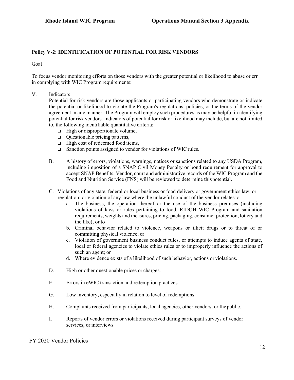### **Policy V-2: IDENTIFICATION OF POTENTIAL FOR RISK VENDORS**

Goal

To focus vendor monitoring efforts on those vendors with the greater potential or likelihood to abuse or err in complying with WIC Program requirements:

V. Indicators

Potential for risk vendors are those applicants or participating vendors who demonstrate or indicate the potential or likelihood to violate the Program's regulations, policies, or the terms of the vendor agreement in any manner. The Program will employ such procedures as may be helpful in identifying potential for risk vendors. Indicators of potential for risk or likelihood may include, but are not limited to, the following identifiable quantitative criteria:

- $\Box$  High or disproportionate volume,
- $\Box$  Questionable pricing patterns,
- $\Box$  High cost of redeemed food items,
- $\Box$  Sanction points assigned to vendor for violations of WIC rules.
- B. A history of errors, violations, warnings, notices or sanctions related to any USDA Program, including imposition of a SNAP Civil Money Penalty or bond requirement for approval to accept SNAP Benefits. Vendor, court and administrative records of the WIC Program and the Food and Nutrition Service (FNS) will be reviewed to determine thispotential.
- C. Violations of any state, federal or local business or food delivery or government ethics law, or regulation; or violation of any law where the unlawful conduct of the vendor relatesto:
	- a. The business, the operation thereof or the use of the business premises (including violations of laws or rules pertaining to food, RIDOH WIC Program and sanitation requirements, weights and measures, pricing, packaging, consumer protection, lottery and the like); or to
	- b. Criminal behavior related to violence, weapons or illicit drugs or to threat of or committing physical violence; or
	- c. Violation of government business conduct rules, or attempts to induce agents of state, local or federal agencies to violate ethics rules or to improperly influence the actions of such an agent; or
	- d. Where evidence exists of a likelihood of such behavior, actions or violations.
- D. High or other questionable prices or charges.
- E. Errors in eWIC transaction and redemption practices.
- G. Low inventory, especially in relation to level of redemptions.
- H. Complaints received from participants, local agencies, other vendors, or thepublic.
- I. Reports of vendor errors or violations received during participant surveys of vendor services, or interviews.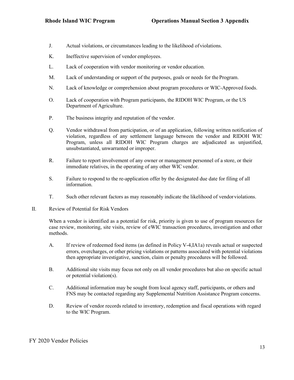- J. Actual violations, or circumstances leading to the likelihood ofviolations.
- K. Ineffective supervision of vendor employees.
- L. Lack of cooperation with vendor monitoring or vendor education.
- M. Lack of understanding or support of the purposes, goals or needs for the Program.
- N. Lack of knowledge or comprehension about program procedures or WIC-Approved foods.
- O. Lack of cooperation with Program participants, the RIDOH WIC Program, or the US Department of Agriculture.
- P. The business integrity and reputation of the vendor.
- Q. Vendor withdrawal from participation, or of an application, following written notification of violation, regardless of any settlement language between the vendor and RIDOH WIC Program, unless all RIDOH WIC Program charges are adjudicated as unjustified, unsubstantiated, unwarranted or improper.
- R. Failure to report involvement of any owner or management personnel of a store, or their immediate relatives, in the operating of any other WIC vendor.
- S. Failure to respond to the re-application offer by the designated due date for filing of all information.
- T. Such other relevant factors as may reasonably indicate the likelihood of vendorviolations.
- II. Review of Potential for Risk Vendors

When a vendor is identified as a potential for risk, priority is given to use of program resources for case review, monitoring, site visits, review of eWIC transaction procedures, investigation and other methods.

- A. If review of redeemed food items (as defined in Policy V-4,IA1a) reveals actual or suspected errors, overcharges, or other pricing violations or patterns associated with potential violations then appropriate investigative, sanction, claim or penalty procedures will be followed.
- B. Additional site visits may focus not only on all vendor procedures but also on specific actual or potential violation(s).
- C. Additional information may be sought from local agency staff, participants, or others and FNS may be contacted regarding any Supplemental Nutrition Assistance Program concerns.
- D. Review of vendor records related to inventory, redemption and fiscal operations with regard to the WIC Program.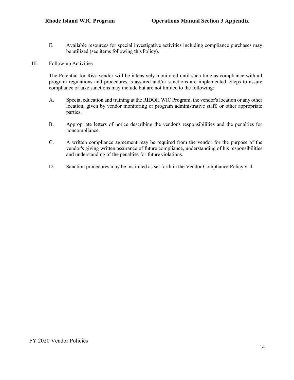E. Available resources for special investigative activities including compliance purchases may be utilized (see items following this Policy).

#### III. Follow-up Activities

The Potential for Risk vendor will be intensively monitored until such time as compliance with all program regulations and procedures is assured and/or sanctions are implemented. Steps to assure compliance or take sanctions may include but are not limited to the following:

- A. Special education and training at the RIDOH WIC Program, the vendor's location or any other location, given by vendor monitoring or program administrative staff, or other appropriate parties.
- B. Appropriate letters of notice describing the vendor's responsibilities and the penalties for noncompliance.
- C. A written compliance agreement may be required from the vendor for the purpose of the vendor's giving written assurance of future compliance, understanding of his responsibilities and understanding of the penalties for future violations.
- D. Sanction procedures may be instituted as set forth in the Vendor Compliance Policy V-4.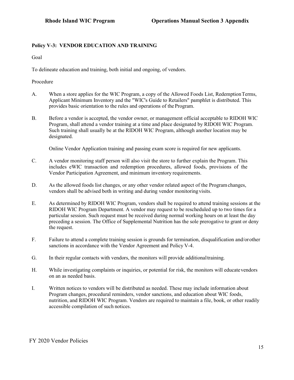# **Policy V-3: VENDOR EDUCATION AND TRAINING**

Goal

To delineate education and training, both initial and ongoing, of vendors.

Procedure

- A. When a store applies for the WIC Program, a copy of the Allowed Foods List, Redemption Terms, Applicant Minimum Inventory and the "WIC's Guide to Retailers" pamphlet is distributed. This provides basic orientation to the rules and operations of the Program.
- B. Before a vendor is accepted, the vendor owner, or management official acceptable to RIDOH WIC Program, shall attend a vendor training at a time and place designated by RIDOH WIC Program. Such training shall usually be at the RIDOH WIC Program, although another location may be designated.

Online Vendor Application training and passing exam score is required for new applicants.

- C. A vendor monitoring staff person will also visit the store to further explain the Program. This includes eWIC transaction and redemption procedures, allowed foods, provisions of the Vendor Participation Agreement, and minimum inventory requirements.
- D. As the allowed foods list changes, or any other vendor related aspect of the Programchanges, vendors shall be advised both in writing and during vendor monitoring visits.
- E. As determined by RIDOH WIC Program, vendors shall be required to attend training sessions at the RIDOH WIC Program Department. A vendor may request to be rescheduled up to two times for a particular session. Such request must be received during normal working hours on at least the day preceding a session. The Office of Supplemental Nutrition has the sole prerogative to grant or deny the request.
- F. Failure to attend a complete training session is grounds for termination, disqualification and/orother sanctions in accordance with the Vendor Agreement and Policy V-4.
- G. In their regular contacts with vendors, the monitors will provide additionaltraining.
- H. While investigating complaints or inquiries, or potential for risk, the monitors will educatevendors on an as needed basis.
- I. Written notices to vendors will be distributed as needed. These may include information about Program changes, procedural reminders, vendor sanctions, and education about WIC foods, nutrition, and RIDOH WIC Program. Vendors are required to maintain a file, book, or other readily accessible compilation of such notices.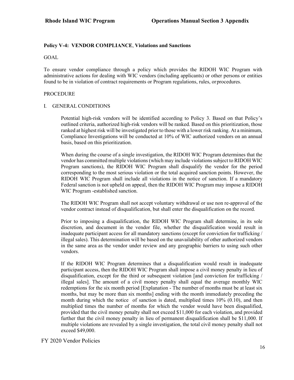### **Policy V-4: VENDOR COMPLIANCE**, **Violations and Sanctions**

#### GOAL

To ensure vendor compliance through a policy which provides the RIDOH WIC Program with administrative actions for dealing with WIC vendors (including applicants) or other persons or entities found to be in violation of contract requirements or Program regulations, rules, orprocedures.

#### PROCEDURE

#### I. GENERAL CONDITIONS

Potential high-risk vendors will be identified according to Policy 3. Based on that Policy's outlined criteria, authorized high-risk vendors will be ranked. Based on this prioritization, those ranked at highest risk will be investigated prior to those with a lower risk ranking. At a minimum, Compliance Investigations will be conducted at 10% of WIC authorized vendors on an annual basis, based on this prioritization.

When during the course of a single investigation, the RIDOH WIC Program determines that the vendor has committed multiple violations (which may include violations subject to RIDOH WIC Program sanctions), the RIDOH WIC Program shall disqualify the vendor for the period corresponding to the most serious violation or the total acquired sanction points. However, the RIDOH WIC Program shall include all violations in the notice of sanction. If a mandatory Federal sanction is not upheld on appeal, then the RIDOH WIC Program may impose a RIDOH WIC Program -established sanction.

The RIDOH WIC Program shall not accept voluntary withdrawal or use non re-approval of the vendor contract instead of disqualification, but shall enter the disqualification on the record.

Prior to imposing a disqualification, the RIDOH WIC Program shall determine, in its sole discretion, and document in the vendor file, whether the disqualification would result in inadequate participant access for all mandatory sanctions (except for conviction for trafficking / illegal sales). This determination will be based on the unavailability of other authorized vendors in the same area as the vendor under review and any geographic barriers to using such other vendors.

If the RIDOH WIC Program determines that a disqualification would result in inadequate participant access, then the RIDOH WIC Program shall impose a civil money penalty in lieu of disqualification, except for the third or subsequent violation [and conviction for trafficking / illegal sales]. The amount of a civil money penalty shall equal the average monthly WIC redemptions for the six month period [Explanation - The number of months must be at least six months, but may be more than six months] ending with the month immediately preceding the month during which the notice of sanction is dated, multiplied times 10% (0.10), and then multiplied times the number of months for which the vendor would have been disqualified, provided that the civil money penalty shall not exceed \$11,000 for each violation, and provided further that the civil money penalty in lieu of permanent disqualification shall be \$11,000. If multiple violations are revealed by a single investigation, the total civil money penalty shall not exceed \$49,000.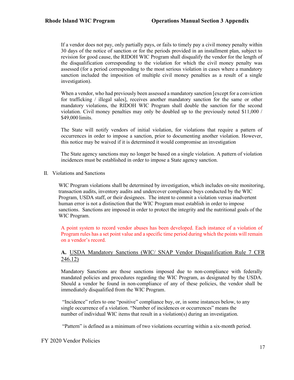If a vendor does not pay, only partially pays, or fails to timely pay a civil money penalty within 30 days of the notice of sanction or for the periods provided in an installment plan, subject to revision for good cause, the RIDOH WIC Program shall disqualify the vendor for the length of the disqualification corresponding to the violation for which the civil money penalty was assessed (for a period corresponding to the most serious violation in cases where a mandatory sanction included the imposition of multiple civil money penalties as a result of a single investigation).

When a vendor, who had previously been assessed a mandatory sanction [except for a conviction] for trafficking / illegal sales], receives another mandatory sanction for the same or other mandatory violations, the RIDOH WIC Program shall double the sanction for the second violation. Civil money penalties may only be doubled up to the previously noted \$11,000 / \$49,000 limits.

The State will notify vendors of initial violation, for violations that require a pattern of occurrences in order to impose a sanction, prior to documenting another violation. However, this notice may be waived if it is determined it would compromise an investigation

The State agency sanctions may no longer be based on a single violation. A pattern of violation incidences must be established in order to impose a State agency sanction.

II. Violations and Sanctions

WIC Program violations shall be determined by investigation, which includes on-site monitoring, transaction audits, inventory audits and undercover compliance buys conducted by the WIC Program, USDA staff, or their designees. The intent to commit a violation versus inadvertent human error is not a distinction that the WIC Program must establish in order to impose sanctions. Sanctions are imposed in order to protect the integrity and the nutritional goals of the WIC Program.

A point system to record vendor abuses has been developed. Each instance of a violation of Program rules has a set point value and a specific time period during which the points will remain on a vendor's record.

# **A.** USDA Mandatory Sanctions (WIC/ SNAP Vendor Disqualification Rule 7 CFR 246.12)

Mandatory Sanctions are those sanctions imposed due to non-compliance with federally mandated policies and procedures regarding the WIC Program, as designated by the USDA. Should a vendor be found in non-compliance of any of these policies, the vendor shall be immediately disqualified from the WIC Program.

"Incidence" refers to one "positive" compliance buy, or, in some instances below, to any single occurrence of a violation. "Number of incidences or occurrences" means the number of individual WIC items that result in a violation(s) during an investigation.

"Pattern" is defined as a minimum of two violations occurring within a six-month period.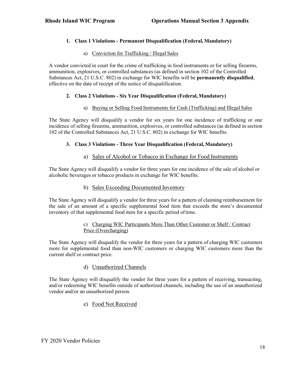# **1. Class 1 Violations - Permanent Disqualification (Federal, Mandatory)**

# a) Conviction for Trafficking / Illegal Sales

A vendor convicted in court for the crime of trafficking in food instruments or for selling firearms, ammunition, explosives, or controlled substances (as defined in section 102 of the Controlled Substances Act, 21 U.S.C. 802) in exchange for WIC benefits will be **permanently disqualified**, effective on the date of receipt of the notice of disqualification.

# **2. Class 2 Violations - Six Year Disqualification (Federal,Mandatory)**

# a) Buying or Selling Food Instruments for Cash (Trafficking) and IllegalSales

The State Agency will disqualify a vendor for six years for one incidence of trafficking or one incidence of selling firearms, ammunition, explosives, or controlled substances (as defined in section 102 of the Controlled Substances Act, 21 U.S.C. 802) in exchange for WIC benefits.

# **3. Class 3 Violations - Three Year Disqualification (Federal,Mandatory)**

# a) Sales of Alcohol or Tobacco in Exchange for Food Instruments

The State Agency will disqualify a vendor for three years for one incidence of the sale of alcohol or alcoholic beverages or tobacco products in exchange for WIC benefits.

# b) Sales Exceeding Documented Inventory

The State Agency will disqualify a vendor for three years for a pattern of claiming reimbursement for the sale of an amount of a specific supplemental food item that exceeds the store's documented inventory of that supplemental food item for a specific period oftime.

### c) Charging WIC Participants More Than Other Customer or Shelf / Contract Price (Overcharging)

The State Agency will disqualify the vendor for three years for a pattern of charging WIC customers more for supplemental food than non-WIC customers or charging WIC customers more than the current shelf or contract price.

d) Unauthorized Channels

The State Agency will disqualify the vendor for three years for a pattern of receiving, transacting, and/or redeeming WIC benefits outside of authorized channels, including the use of an unauthorized vendor and/or an unauthorized person.

e) Food Not Received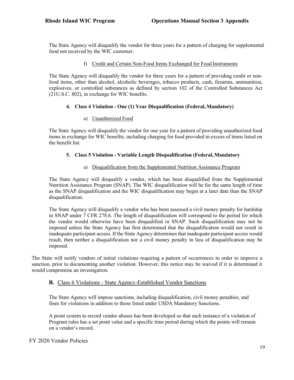The State Agency will disqualify the vendor for three years for a pattern of charging for supplemental food not received by the WIC customer.

### f) Credit and Certain Non-Food Items Exchanged for Food Instruments

The State Agency will disqualify the vendor for three years for a pattern of providing credit or nonfood items, other than alcohol, alcoholic beverages, tobacco products, cash, firearms, ammunition, explosives, or controlled substances as defined by section 102 of the Controlled Substances Act (21U.S.C. 802), in exchange for WIC benefits.

### **4. Class 4 Violation - One (1) Year Disqualification (Federal,Mandatory)**

### a) Unauthorized Food

The State Agency will disqualify the vendor for one year for a pattern of providing unauthorized food items in exchange for WIC benefits, including charging for food provided in excess of items listed on the benefit list.

### **5. Class 5 Violation - Variable Length Disqualification (Federal, Mandatory**

### a) Disqualification from the Supplemental Nutrition Assistance Program

The State Agency will disqualify a vendor, which has been disqualified from the Supplemental Nutrition Assistance Program (SNAP). The WIC disqualification will be for the same length of time as the SNAP disqualification and the WIC disqualification may begin at a later date than the SNAP disqualification.

The State Agency will disqualify a vendor who has been assessed a civil money penalty for hardship in SNAP under 7 CFR 278.6. The length of disqualification will correspond to the period for which the vendor would otherwise have been disqualified in SNAP. Such disqualification may not be imposed unless the State Agency has first determined that the disqualification would not result in inadequate participant access. If the State Agency determines that inadequate participant access would result, then neither a disqualification nor a civil money penalty in lieu of disqualification may be imposed.

The State will notify vendors of initial violations requiring a pattern of occurrences in order to improve a sanction, prior to documenting another violation. However, this notice may be waived if it is determined it would compromise an investigation.

# **B.** Class 6 Violations - State Agency-Established Vendor Sanctions

The State Agency will impose sanctions, including disqualification, civil money penalties, and fines for violations in addition to those listed under USDA Mandatory Sanctions.

A point system to record vendor abuses has been developed so that each instance of a violation of Program rules has a set point value and a specific time period during which the points will remain on a vendor's record.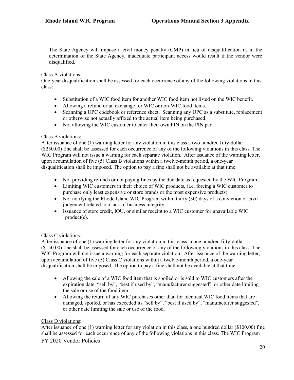The State Agency will impose a civil money penalty (CMP) in lieu of disqualification if, in the determination of the State Agency, inadequate participant access would result if the vendor were disqualified.

#### Class A violations:

One-year disqualification shall be assessed for each occurrence of any of the following violations in this class:

- Substitution of a WIC food item for another WIC food item not listed on the WIC benefit.
- Allowing a refund or an exchange for WIC or non-WIC food items.
- Scanning a UPC codebook or reference sheet. Scanning any UPC as a substitute, replacement or otherwise not actually affixed to the actual item being purchased.
- Not allowing the WIC customer to enter their own PIN on the PIN pad.

### Class B violations:

After issuance of one (1) warning letter for any violation in this class a two hundred fifty-dollar (\$250.00) fine shall be assessed for each occurrence of any of the following violations in this class. The WIC Program will not issue a warning for each separate violation. After issuance of the warning letter, upon accumulation of five (5) Class B violations within a twelve-month period, a one-year disqualification shall be imposed. The option to pay a fine shall not be available at that time.

- Not providing refunds or not paying fines by the due date as requested by the WIC Program.
- Limiting WIC customers in their choice of WIC products, (i.e. forcing a WIC customer to purchase only least expensive or store brands or the most expensive products).
- Not notifying the Rhode Island WIC Program within thirty (30) days of a conviction or civil judgement related to a lack of business integrity.
- Issuance of store credit, IOU, or similar receipt to a WIC customer for unavailable WIC product(s).

#### Class C violations:

After issuance of one (1) warning letter for any violation in this class, a one hundred fifty-dollar (\$150.00) fine shall be assessed for each occurrence of any of the following violations in this class. The WIC Program will not issue a warning for each separate violation. After issuance of the warning letter, upon accumulation of five (5) Class C violations within a twelve-month period, a one-year disqualification shall be imposed. The option to pay a fine shall not be available at that time.

- Allowing the sale of a WIC food item that is spoiled or is sold to WIC customers after the expiration date, "sell by", "best if used by", "manufacturer suggested", or other date limiting the sale or use of the food item.
- Allowing the return of any WIC purchases other than for identical WIC food items that are damaged, spoiled, or has exceeded its "sell by", "best if used by", "manufacturer suggested", or other date limiting the sale or use of the food.

# Class D violations:

After issuance of one (1) warning letter for any violation in this class, a one hundred dollar (\$100.00) fine shall be assessed for each occurrence of any of the following violations in this class. The WIC Program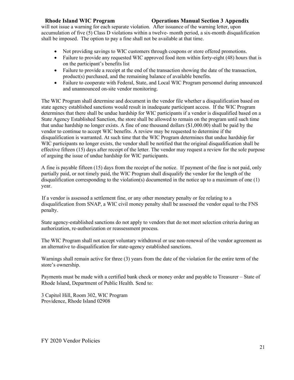will not issue a warning for each separate violation. After issuance of the warning letter, upon accumulation of five (5) Class D violations within a twelve- month period, a six-month disqualification shall be imposed. The option to pay a fine shall not be available at that time.

- Not providing savings to WIC customers through coupons or store offered promotions.
- Failure to provide any requested WIC approved food item within forty-eight (48) hours that is on the participant's benefits list
- Failure to provide a receipt at the end of the transaction showing the date of the transaction, product(s) purchased, and the remaining balance of available benefits.
- Failure to cooperate with Federal, State, and Local WIC Program personnel during announced and unannounced on-site vendor monitoring.

The WIC Program shall determine and document in the vendor file whether a disqualification based on state agency established sanctions would result in inadequate participant access. If the WIC Program determines that there shall be undue hardship for WIC participants if a vendor is disqualified based on a State Agency Established Sanction, the store shall be allowed to remain on the program until such time that undue hardship no longer exists. A fine of one thousand dollars (\$1,000.00) shall be paid by the vendor to continue to accept WIC benefits. A review may be requested to determine if the disqualification is warranted. At such time that the WIC Program determines that undue hardship for WIC participants no longer exists, the vendor shall be notified that the original disqualification shall be effective fifteen (15) days after receipt of the letter. The vendor may request a review for the sole purpose of arguing the issue of undue hardship for WIC participants.

A fine is payable fifteen (15) days from the receipt of the notice. If payment of the fine is not paid, only partially paid, or not timely paid, the WIC Program shall disqualify the vendor for the length of the disqualification corresponding to the violation(s) documented in the notice up to a maximum of one (1) year.

 If a vendor is assessed a settlement fine, or any other monetary penalty or fee relating to a disqualification from SNAP, a WIC civil money penalty shall be assessed the vendor equal to the FNS penalty.

State agency-established sanctions do not apply to vendors that do not meet selection criteria during an authorization, re-authorization or reassessment process.

The WIC Program shall not accept voluntary withdrawal or use non-renewal of the vendor agreement as an alternative to disqualification for state-agency established sanctions.

Warnings shall remain active for three (3) years from the date of the violation for the entire term of the store's ownership.

Payments must be made with a certified bank check or money order and payable to Treasurer – State of Rhode Island, Department of Public Health. Send to:

3 Capitol Hill, Room 302, WIC Program Providence, Rhode Island 02908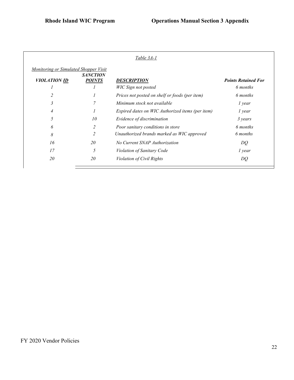| <u>Table 3A-1</u>                                                   |                                  |                                                  |                                        |  |  |
|---------------------------------------------------------------------|----------------------------------|--------------------------------------------------|----------------------------------------|--|--|
| <b>Monitoring or Simulated Shopper Visit</b><br><b>VIOLATION ID</b> | <b>SANCTION</b><br><b>POINTS</b> | <b>DESCRIPTION</b><br>WIC Sign not posted        | <b>Points Retained For</b><br>6 months |  |  |
|                                                                     |                                  | Prices not posted on shelf or foods (per item)   | 6 months                               |  |  |
| 3                                                                   | 7                                | Minimum stock not available                      | 1 year                                 |  |  |
|                                                                     |                                  | Expired dates on WIC Authorized items (per item) | l year                                 |  |  |
| 5                                                                   | 10                               | Evidence of discrimination                       | 3 years                                |  |  |
| 6                                                                   | $\overline{c}$                   | Poor sanitary conditions in store                | 6 months                               |  |  |
| 8                                                                   | $\overline{2}$                   | Unauthorized brands marked as WIC approved       | 6 months                               |  |  |
| 16                                                                  | 20                               | No Current SNAP Authorization                    | DQ                                     |  |  |
| 17                                                                  | 5                                | Violation of Sanitary Code                       | 1 year                                 |  |  |
| 20                                                                  | 20                               | Violation of Civil Rights                        | DQ                                     |  |  |
|                                                                     |                                  |                                                  |                                        |  |  |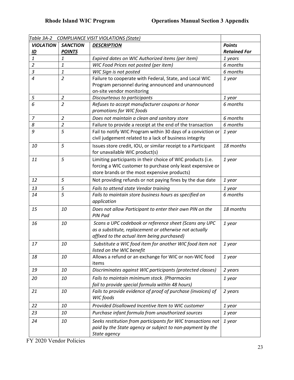| Table 3A-2<br><b>COMPLIANCE VISIT VIOLATIONS (State)</b> |                 |                                                               |                     |  |  |
|----------------------------------------------------------|-----------------|---------------------------------------------------------------|---------------------|--|--|
| <b>VIOLATION</b>                                         | <b>SANCTION</b> | <b>DESCRIPTION</b>                                            | <b>Points</b>       |  |  |
| $\underline{\mathsf{ID}}$                                | <b>POINTS</b>   |                                                               | <b>Retained For</b> |  |  |
| $\mathbf{1}$                                             | 1               | Expired dates on WIC Authorized items (per item)              | 1 years             |  |  |
| $\overline{2}$                                           | 1               | WIC Food Prices not posted (per item)                         | 6 months            |  |  |
| $\mathfrak{Z}$                                           | $\mathbf{1}$    | WIC Sign is not posted                                        | 6 months            |  |  |
| $\overline{a}$                                           | $\overline{2}$  | Failure to cooperate with Federal, State, and Local WIC       | 1 year              |  |  |
|                                                          |                 | Program personnel during announced and unannounced            |                     |  |  |
|                                                          |                 | on-site vendor monitoring                                     |                     |  |  |
| 5                                                        | $\overline{2}$  | Discourteous to participants                                  | 1 year              |  |  |
| 6                                                        | $\overline{a}$  | Refuses to accept manufacturer coupons or honor               | 6 months            |  |  |
|                                                          |                 | promotions for WIC foods                                      |                     |  |  |
| $\overline{7}$                                           | $\overline{2}$  | Does not maintain a clean and sanitary store                  | 6 months            |  |  |
| 8                                                        | $\overline{2}$  | Failure to provide a receipt at the end of the transaction    | 6 months            |  |  |
| 9                                                        | 5               | Fail to notify WIC Program within 30 days of a conviction or  | 1 year              |  |  |
|                                                          |                 | civil judgement related to a lack of business integrity       |                     |  |  |
| 10                                                       | 5               | Issues store credit, IOU, or similar receipt to a Participant | 18 months           |  |  |
|                                                          |                 | for unavailable WIC product(s)                                |                     |  |  |
| 11                                                       | 5               | Limiting participants in their choice of WIC products (i.e.   | 1 year              |  |  |
|                                                          |                 | forcing a WIC customer to purchase only least expensive or    |                     |  |  |
|                                                          |                 | store brands or the most expensive products)                  |                     |  |  |
| 12                                                       | 5               | Not providing refunds or not paying fines by the due date     | 1 year              |  |  |
| 13                                                       | 5               | Fails to attend state Vendor training                         | 1 year              |  |  |
| 14                                                       | 5               | Fails to maintain store business hours as specified on        | 6 months            |  |  |
|                                                          |                 | application                                                   |                     |  |  |
| 15                                                       | 10              | Does not allow Participant to enter their own PIN on the      | 18 months           |  |  |
|                                                          |                 | <b>PIN Pad</b>                                                |                     |  |  |
| 16                                                       | 10              | Scans a UPC codebook or reference sheet (Scans any UPC        | 1 year              |  |  |
|                                                          |                 | as a substitute, replacement or otherwise not actually        |                     |  |  |
|                                                          |                 | affixed to the actual item being purchased)                   |                     |  |  |
| 17                                                       | 10              | Substitute a WIC food item for another WIC food item not      | 1 year              |  |  |
|                                                          |                 | listed on the WIC benefit                                     |                     |  |  |
| 18                                                       | 10              | Allows a refund or an exchange for WIC or non-WIC food        | 1 year              |  |  |
|                                                          |                 | items                                                         |                     |  |  |
| 19                                                       | 10              | Discriminates against WIC participants (protected classes)    | 2 years             |  |  |
| 20                                                       | 10              | Fails to maintain minimum stock. (Pharmacies                  | 1 year              |  |  |
|                                                          |                 | fail to provide special formula within 48 hours)              |                     |  |  |
| 21                                                       | 10              | Fails to provide evidence of proof of purchase (invoices) of  | 2 years             |  |  |
|                                                          |                 | WIC foods                                                     |                     |  |  |
| 22                                                       | 10              | Provided Disallowed Incentive Item to WIC customer            | 1 year              |  |  |
| 23                                                       | 10              | Purchase infant formula from unauthorized sources             | 1 year              |  |  |
| 24                                                       | 10              | Seeks restitution from participants for WIC transactions not  | 1 year              |  |  |
|                                                          |                 | paid by the State agency or subject to non-payment by the     |                     |  |  |
|                                                          |                 | State agency                                                  |                     |  |  |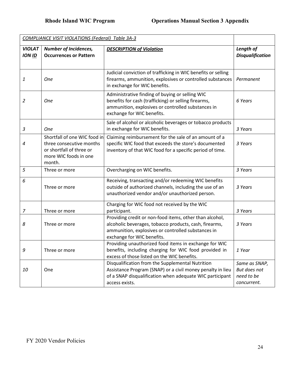| <b>COMPLIANCE VISIT VIOLATIONS (Federal) Table 3A-3</b> |                                                                                                                         |                                                                                                                                                                                                       |                                                            |  |
|---------------------------------------------------------|-------------------------------------------------------------------------------------------------------------------------|-------------------------------------------------------------------------------------------------------------------------------------------------------------------------------------------------------|------------------------------------------------------------|--|
| <b>VIOLAT</b><br><b>ION ID</b>                          | <b>Number of Incidences,</b><br><b>Occurrences or Pattern</b>                                                           | <b>DESCRIPTION of Violation</b>                                                                                                                                                                       | Length of<br><b>Disqualification</b>                       |  |
| 1                                                       | <b>One</b>                                                                                                              | Judicial conviction of trafficking in WIC benefits or selling<br>firearms, ammunition, explosives or controlled substances<br>in exchange for WIC benefits.                                           | Permanent                                                  |  |
| 2                                                       | <b>One</b>                                                                                                              | Administrative finding of buying or selling WIC<br>benefits for cash (trafficking) or selling firearms,<br>ammunition, explosives or controlled substances in<br>exchange for WIC benefits.           | 6 Years                                                    |  |
| 3                                                       | <b>One</b>                                                                                                              | Sale of alcohol or alcoholic beverages or tobacco products<br>in exchange for WIC benefits.                                                                                                           | 3 Years                                                    |  |
| 4                                                       | Shortfall of one WIC food in<br>three consecutive months<br>or shortfall of three or<br>more WIC foods in one<br>month. | Claiming reimbursement for the sale of an amount of a<br>specific WIC food that exceeds the store's documented<br>inventory of that WIC food for a specific period of time.                           | 3 Years                                                    |  |
| 5                                                       | Three or more                                                                                                           | Overcharging on WIC benefits.                                                                                                                                                                         | 3 Years                                                    |  |
| 6                                                       | Three or more                                                                                                           | Receiving, transacting and/or redeeming WIC benefits<br>outside of authorized channels, including the use of an<br>unauthorized vendor and/or unauthorized person.                                    | 3 Years                                                    |  |
| 7                                                       | Three or more                                                                                                           | Charging for WIC food not received by the WIC<br>participant.                                                                                                                                         | 3 Years                                                    |  |
| 8                                                       | Three or more                                                                                                           | Providing credit or non-food items, other than alcohol,<br>alcoholic beverages, tobacco products, cash, firearms,<br>ammunition, explosives or controlled substances in<br>exchange for WIC benefits. | 3 Years                                                    |  |
| У                                                       | Three or more                                                                                                           | Providing unauthorized food items in exchange for WIC<br>benefits, including charging for WIC food provided in<br>excess of those listed on the WIC benefits.                                         | 1 Year                                                     |  |
| 10                                                      | One                                                                                                                     | Disqualification from the Supplemental Nutrition<br>Assistance Program (SNAP) or a civil money penalty in lieu<br>of a SNAP disqualification when adequate WIC participant<br>access exists.          | Same as SNAP,<br>But does not<br>need to be<br>concurrent. |  |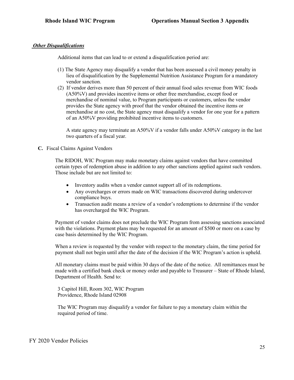#### *Other Disqualifications*

Additional items that can lead to or extend a disqualification period are:

- (1) The State Agency may disqualify a vendor that has been assessed a civil money penalty in lieu of disqualification by the Supplemental Nutrition Assistance Program for a mandatory vendor sanction.
- (2) If vendor derives more than 50 percent of their annual food sales revenue from WIC foods (A50%V) and provides incentive items or other free merchandise, except food or merchandise of nominal value, to Program participants or customers, unless the vendor provides the State agency with proof that the vendor obtained the incentive items or merchandise at no cost, the State agency must disqualify a vendor for one year for a pattern of an A50%V providing prohibited incentive items to customers.

A state agency may terminate an A50%V if a vendor falls under A50%V category in the last two quarters of a fiscal year.

#### **C.** Fiscal Claims Against Vendors

The RIDOH, WIC Program may make monetary claims against vendors that have committed certain types of redemption abuse in addition to any other sanctions applied against such vendors. Those include but are not limited to:

- Inventory audits when a vendor cannot support all of its redemptions.
- Any overcharges or errors made on WIC transactions discovered during undercover compliance buys.
- Transaction audit means a review of a vendor's redemptions to determine if the vendor has overcharged the WIC Program.

Payment of vendor claims does not preclude the WIC Program from assessing sanctions associated with the violations. Payment plans may be requested for an amount of \$500 or more on a case by case basis determined by the WIC Program.

When a review is requested by the vendor with respect to the monetary claim, the time period for payment shall not begin until after the date of the decision if the WIC Program's action is upheld.

All monetary claims must be paid within 30 days of the date of the notice. All remittances must be made with a certified bank check or money order and payable to Treasurer – State of Rhode Island, Department of Health. Send to:

3 Capitol Hill, Room 302, WIC Program Providence, Rhode Island 02908

The WIC Program may disqualify a vendor for failure to pay a monetary claim within the required period of time.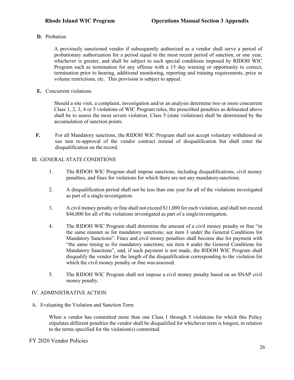**D.** Probation

A previously sanctioned vendor if subsequently authorized as a vendor shall serve a period of probationary authorization for a period equal to the most recent period of sanction, or one year, whichever is greater, and shall be subject to such special conditions imposed by RIDOH WIC Program such as termination for any offense with a 15 day warning or opportunity to correct, termination prior to hearing, additional monitoring, reporting and training requirements, price or volume restrictions, etc. This provision is subject to appeal.

**E.** Concurrent violations

Should a site visit, a complaint, investigation and/or an analysis determine two or more concurrent Class 1, 2, 3, 4 or 5 violations of WIC Program rules, the prescribed penalties as delineated above shall be to assess the most severe violation. Class 5 (state violations) shall be determined by the accumulation of sanction points.

**F.** For all Mandatory sanctions, the RIDOH WIC Program shall not accept voluntary withdrawal or use non re-approval of the vendor contract instead of disqualification but shall enter the disqualification on the record.

### III. GENERAL STATE CONDITIONS

- 1. The RIDOH WIC Program shall impose sanctions, including disqualifications, civil money penalties, and fines for violations for which there are not any mandatorysanctions.
- 2. A disqualification period shall not be less than one year for all of the violations investigated as part of a single investigation.
- 3. A civil money penalty or fine shall not exceed \$11,000 for each violation, and shall not exceed \$46,000 for all of the violations investigated as part of a single investigation.
- 4. The RIDOH WIC Program shall determine the amount of a civil money penalty or fine "in the same manner as for mandatory sanctions; see item 3 under the General Conditions for Mandatory Sanctions". Fines and civil money penalties shall become due for payment with "the same timing as for mandatory sanctions; see item 4 under the General Conditions for Mandatory Sanctions", and, if such payment is not made, the RIDOH WIC Program shall disqualify the vendor for the length of the disqualification corresponding to the violation for which the civil money penalty or fine was assessed.
- 5. The RIDOH WIC Program shall not impose a civil money penalty based on an SNAP civil money penalty.

#### IV. ADMINISTRATIVE ACTION

A. Evaluating the Violation and Sanction Term

When a vendor has committed more than one Class 1 through 5 violations for which this Policy stipulates different penalties the vendor shall be disqualified for whichever term is longest, in relation to the terms specified for the violation(s) committed.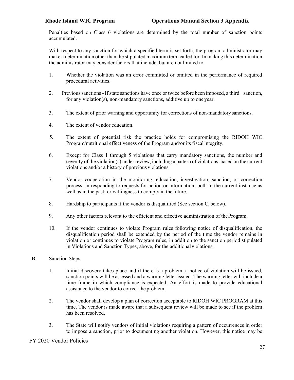Penalties based on Class 6 violations are determined by the total number of sanction points accumulated.

With respect to any sanction for which a specified term is set forth, the program administrator may make a determination other than the stipulated maximum term called for. In making this determination the administrator may consider factors that include, but are not limited to:

- 1. Whether the violation was an error committed or omitted in the performance of required procedural activities.
- 2. Previous sanctions If state sanctions have once or twice before been imposed, a third sanction, for any violation(s), non-mandatory sanctions, additive up to one year.
- 3. The extent of prior warning and opportunity for corrections of non-mandatory sanctions.
- 4. The extent of vendor education.
- 5. The extent of potential risk the practice holds for compromising the RIDOH WIC Program/nutritional effectiveness of the Program and/or its fiscalintegrity.
- 6. Except for Class 1 through 5 violations that carry mandatory sanctions, the number and severity of the violation(s) under review, including a pattern of violations, based on the current violations and/or a history of previous violations.
- 7. Vendor cooperation in the monitoring, education, investigation, sanction, or correction process; in responding to requests for action or information; both in the current instance as well as in the past; or willingness to comply in the future.
- 8. Hardship to participants if the vendor is disqualified (See section C, below).
- 9. Any other factors relevant to the efficient and effective administration of theProgram.
- 10. If the vendor continues to violate Program rules following notice of disqualification, the disqualification period shall be extended by the period of the time the vendor remains in violation or continues to violate Program rules, in addition to the sanction period stipulated in Violations and Sanction Types, above, for the additional violations.
- B. Sanction Steps
	- 1. Initial discovery takes place and if there is a problem, a notice of violation will be issued, sanction points will be assessed and a warning letter issued. The warning letter will include a time frame in which compliance is expected. An effort is made to provide educational assistance to the vendor to correct the problem.
	- 2. The vendor shall develop a plan of correction acceptable to RIDOH WIC PROGRAM at this time. The vendor is made aware that a subsequent review will be made to see if the problem has been resolved.
	- 3. The State will notify vendors of initial violations requiring a pattern of occurrences in order to impose a sanction, prior to documenting another violation. However, this notice may be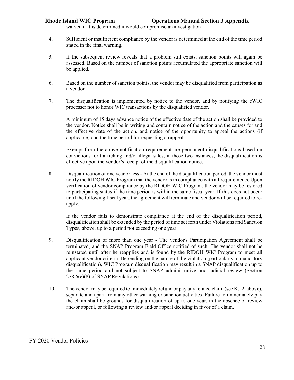waived if it is determined it would compromise an investigation

- 4. Sufficient or insufficient compliance by the vendor is determined at the end of the time period stated in the final warning.
- 5. If the subsequent review reveals that a problem still exists, sanction points will again be assessed. Based on the number of sanction points accumulated the appropriate sanction will be applied.
- 6. Based on the number of sanction points, the vendor may be disqualified from participation as a vendor.
- 7. The disqualification is implemented by notice to the vendor, and by notifying the eWIC processer not to honor WIC transactions by the disqualified vendor.

A minimum of 15 days advance notice of the effective date of the action shall be provided to the vendor. Notice shall be in writing and contain notice of the action and the causes for and the effective date of the action, and notice of the opportunity to appeal the actions (if applicable) and the time period for requesting an appeal.

Exempt from the above notification requirement are permanent disqualifications based on convictions for trafficking and/or illegal sales; in those two instances, the disqualification is effective upon the vendor's receipt of the disqualification notice.

8. Disqualification of one year or less - At the end of the disqualification period, the vendor must notify the RIDOH WIC Program that the vendor is in compliance with all requirements. Upon verification of vendor compliance by the RIDOH WIC Program, the vendor may be restored to participating status if the time period is within the same fiscal year. If this does not occur until the following fiscal year, the agreement will terminate and vendor will be required to reapply.

If the vendor fails to demonstrate compliance at the end of the disqualification period, disqualification shall be extended by the period of time set forth under Violations and Sanction Types, above, up to a period not exceeding one year.

- 9. Disqualification of more than one year The vendor's Participation Agreement shall be terminated, and the SNAP Program Field Office notified of such. The vendor shall not be reinstated until after he reapplies and is found by the RIDOH WIC Program to meet all applicant vendor criteria. Depending on the nature of the violation (particularly a mandatory disqualification), WIC Program disqualification may result in a SNAP disqualification up to the same period and not subject to SNAP administrative and judicial review (Section 278.6(e)(8) of SNAP Regulations).
- 10. The vendor may be required to immediately refund or pay any related claim (see K., 2, above), separate and apart from any other warning or sanction activities. Failure to immediately pay the claim shall be grounds for disqualification of up to one year, in the absence of review and/or appeal, or following a review and/or appeal deciding in favor of a claim.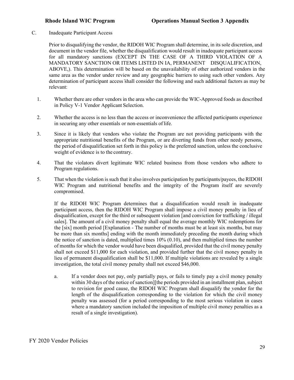C. Inadequate Participant Access

Prior to disqualifying the vendor, the RIDOH WIC Program shall determine, in its sole discretion, and document in the vendor file, whether the disqualification would result in inadequate participant access for all mandatory sanctions (EXCEPT IN THE CASE OF A THIRD VIOLATION OF A MANDATORY SANCTION OR ITEMS LISTED IN IA, PERMANENT DISQUALIFICATION, ABOVE,). This determination will be based on the unavailability of other authorized vendors in the same area as the vendor under review and any geographic barriers to using such other vendors. Any determination of participant access shall consider the following and such additional factors as may be relevant:

- 1. Whether there are other vendors in the area who can provide the WIC-Approved foods as described in Policy V-1 Vendor Applicant Selection.
- 2. Whether the access is no less than the access or inconvenience the affected participants experience in securing any other essentials or non-essentials of life.
- 3. Since it is likely that vendors who violate the Program are not providing participants with the appropriate nutritional benefits of the Program, or are diverting funds from other needy persons, the period of disqualification set forth in this policy is the preferred sanction, unless the conclusive weight of evidence is to the contrary.
- 4. That the violators divert legitimate WIC related business from those vendors who adhere to Program regulations.
- 5. That when the violation is such that it also involves participation by participants/payees, the RIDOH WIC Program and nutritional benefits and the integrity of the Program itself are severely compromised.

If the RIDOH WIC Program determines that a disqualification would result in inadequate participant access, then the RIDOH WIC Program shall impose a civil money penalty in lieu of disqualification, except for the third or subsequent violation [and conviction for trafficking / illegal sales]. The amount of a civil money penalty shall equal the average monthly WIC redemptions for the [six] month period [Explanation - The number of months must be at least six months, but may be more than six months] ending with the month immediately preceding the month during which the notice of sanction is dated, multiplied times 10% (0.10), and then multiplied times the number of months for which the vendor would have been disqualified, provided that the civil money penalty shall not exceed \$11,000 for each violation, and provided further that the civil money penalty in lieu of permanent disqualification shall be \$11,000. If multiple violations are revealed by a single investigation, the total civil money penalty shall not exceed \$46,000.

a. If a vendor does not pay, only partially pays, or fails to timely pay a civil money penalty within 30 days of the notice of sanction][the periods provided in an installment plan, subject to revision for good cause, the RIDOH WIC Program shall disqualify the vendor for the length of the disqualification corresponding to the violation for which the civil money penalty was assessed (for a period corresponding to the most serious violation in cases where a mandatory sanction included the imposition of multiple civil money penalties as a result of a single investigation).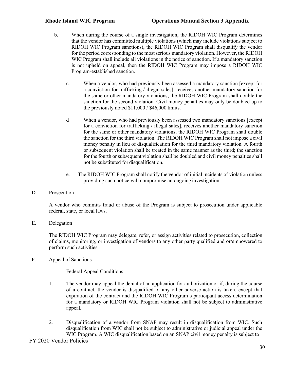- b. When during the course of a single investigation, the RIDOH WIC Program determines that the vendor has committed multiple violations (which may include violations subject to RIDOH WIC Program sanctions), the RIDOH WIC Program shall disqualify the vendor for the period corresponding to the most serious mandatory violation. However, the RIDOH WIC Program shall include all violations in the notice of sanction. If a mandatory sanction is not upheld on appeal, then the RIDOH WIC Program may impose a RIDOH WIC Program-established sanction.
	- c. When a vendor, who had previously been assessed a mandatory sanction [except for a conviction for trafficking / illegal sales], receives another mandatory sanction for the same or other mandatory violations, the RIDOH WIC Program shall double the sanction for the second violation. Civil money penalties may only be doubled up to the previously noted \$11,000 / \$46,000 limits.
	- d When a vendor, who had previously been assessed two mandatory sanctions [except for a conviction for trafficking / illegal sales], receives another mandatory sanction for the same or other mandatory violations, the RIDOH WIC Program shall double the sanction for the third violation. The RIDOH WIC Program shall not impose a civil money penalty in lieu of disqualification for the third mandatory violation. A fourth or subsequent violation shall be treated in the same manner as the third; the sanction for the fourth or subsequent violation shall be doubled and civil money penalties shall not be substituted for disqualification.
	- e. The RIDOH WIC Program shall notify the vendor of initial incidents of violation unless providing such notice will compromise an ongoing investigation.
- D. Prosecution

A vendor who commits fraud or abuse of the Program is subject to prosecution under applicable federal, state, or local laws.

E. Delegation

The RIDOH WIC Program may delegate, refer, or assign activities related to prosecution, collection of claims, monitoring, or investigation of vendors to any other party qualified and or/empowered to perform such activities.

F. Appeal of Sanctions

#### Federal Appeal Conditions

- 1. The vendor may appeal the denial of an application for authorization or if, during the course of a contract, the vendor is disqualified or any other adverse action is taken, except that expiration of the contract and the RIDOH WIC Program's participant access determination for a mandatory or RIDOH WIC Program violation shall not be subject to administrative appeal.
- 2. Disqualification of a vendor from SNAP may result in disqualification from WIC. Such disqualification from WIC shall not be subject to administrative or judicial appeal under the WIC Program. A WIC disqualification based on an SNAP civil money penalty is subject to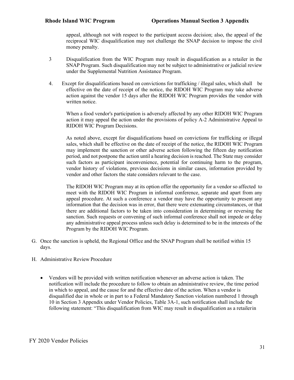appeal, although not with respect to the participant access decision; also, the appeal of the reciprocal WIC disqualification may not challenge the SNAP decision to impose the civil money penalty.

- 3 Disqualification from the WIC Program may result in disqualification as a retailer in the SNAP Program. Such disqualification may not be subject to administrative or judicial review under the Supplemental Nutrition Assistance Program.
- 4. Except for disqualifications based on convictions for trafficking / illegal sales, which shall be effective on the date of receipt of the notice, the RIDOH WIC Program may take adverse action against the vendor 15 days after the RIDOH WIC Program provides the vendor with written notice.

When a food vendor's participation is adversely affected by any other RIDOH WIC Program action it may appeal the action under the provisions of policy A-2 Administrative Appeal to RIDOH WIC Program Decisions.

As noted above, except for disqualifications based on convictions for trafficking or illegal sales, which shall be effective on the date of receipt of the notice, the RIDOH WIC Program may implement the sanction or other adverse action following the fifteen day notification period, and not postpone the action until a hearing decision is reached. The State may consider such factors as participant inconvenience, potential for continuing harm to the program, vendor history of violations, previous decisions in similar cases, information provided by vendor and other factors the state considers relevant to the case.

The RIDOH WIC Program may at its option offer the opportunity for a vendor so affected to meet with the RIDOH WIC Program in informal conference, separate and apart from any appeal procedure. At such a conference a vendor may have the opportunity to present any information that the decision was in error, that there were extenuating circumstances, or that there are additional factors to be taken into consideration in determining or reversing the sanction. Such requests or convening of such informal conference shall not impede or delay any administrative appeal process unless such delay is determined to be in the interests of the Program by the RIDOH WIC Program.

- G. Once the sanction is upheld, the Regional Office and the SNAP Program shall be notified within 15 days.
- H. Administrative Review Procedure
	- Vendors will be provided with written notification whenever an adverse action is taken. The notification will include the procedure to follow to obtain an administrative review, the time period in which to appeal, and the cause for and the effective date of the action. When a vendor is disqualified due in whole or in part to a Federal Mandatory Sanction violation numbered 1 through 10 in Section 3 Appendix under Vendor Policies, Table 3A-1, such notification shall include the following statement: "This disqualification from WIC may result in disqualification as a retailerin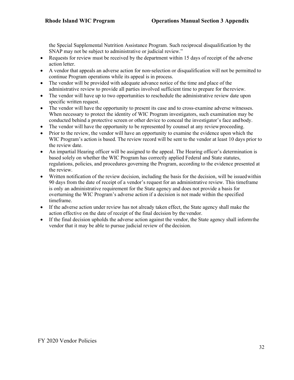the Special Supplemental Nutrition Assistance Program. Such reciprocal disqualification by the SNAP may not be subject to administrative or judicial review."

- Requests for review must be received by the department within 15 days of receipt of the adverse action letter.
- A vendor that appeals an adverse action for non-selection or disqualification will not be permitted to continue Program operations while its appeal is in process.
- The vendor will be provided with adequate advance notice of the time and place of the administrative review to provide all parties involved sufficient time to prepare for thereview.
- The vendor will have up to two opportunities to reschedule the administrative review date upon specific written request.
- The vendor will have the opportunity to present its case and to cross-examine adverse witnesses. When necessary to protect the identity of WIC Program investigators, such examination may be conducted behind a protective screen or other device to conceal the investigator's face andbody.
- The vendor will have the opportunity to be represented by counsel at any review proceeding.
- Prior to the review, the vendor will have an opportunity to examine the evidence upon which the WIC Program's action is based. The review record will be sent to the vendor at least 10 days prior to the review date.
- An impartial Hearing officer will be assigned to the appeal. The Hearing officer's determination is based solely on whether the WIC Program has correctly applied Federal and State statutes, regulations, policies, and procedures governing the Program, according to the evidence presented at the review.
- Written notification of the review decision, including the basis for the decision, will be issued within 90 days from the date of receipt of a vendor's request for an administrative review. This timeframe is only an administrative requirement for the State agency and does not provide a basis for overturning the WIC Program's adverse action if a decision is not made within the specified timeframe.
- If the adverse action under review has not already taken effect, the State agency shall make the action effective on the date of receipt of the final decision by the vendor.
- If the final decision upholds the adverse action against the vendor, the State agency shall inform the vendor that it may be able to pursue judicial review of the decision.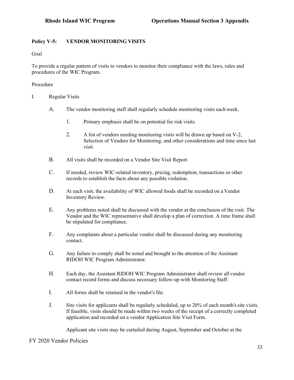# **Policy V-5: VENDOR MONITORING VISITS**

Goal

To provide a regular pattern of visits to vendors to monitor their compliance with the laws, rules and procedures of the WIC Program.

### Procedure

- I. Regular Visits
	- A. The vendor monitoring staff shall regularly schedule monitoring visits each week.
		- 1. Primary emphasis shall be on potential for risk visits.
		- 2. A list of vendors needing monitoring visits will be drawn up based on V-2, Selection of Vendors for Monitoring, and other considerations and time since last visit.
	- B. All visits shall be recorded on a Vendor Site Visit Report.
	- C. If needed, review WIC-related inventory, pricing, redemption, transactions or other records to establish the facts about any possible violation.
	- D. At each visit, the availability of WIC allowed foods shall be recorded on a Vendor Inventory Review.
	- E. Any problems noted shall be discussed with the vendor at the conclusion of the visit. The Vendor and the WIC representative shall develop a plan of correction. A time frame shall be stipulated for compliance.
	- F. Any complaints about a particular vendor shall be discussed during any monitoring contact.
	- G. Any failure to comply shall be noted and brought to the attention of the Assistant RIDOH WIC Program Administrator.
	- H. Each day, the Assistant RIDOH WIC Program Administrator shall review all vendor contact record forms and discuss necessary follow-up with Monitoring Staff.
	- I. All forms shall be retained in the vendor's file.
	- J. Site visits for applicants shall be regularly scheduled, up to 20% of each month's site visits. If feasible, visits should be made within two weeks of the receipt of a correctly completed application and recorded on a vendor Application Site Visit Form.

Applicant site visits may be curtailed during August, September and October at the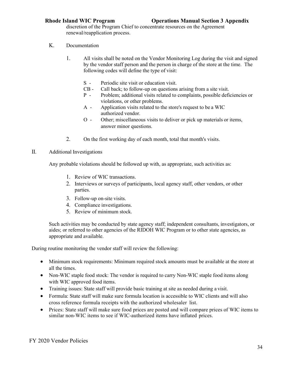discretion of the Program Chief to concentrate resources on the Agreement renewal/reapplication process.

## K. Documentation

- 1. All visits shall be noted on the Vendor Monitoring Log during the visit and signed by the vendor staff person and the person in charge of the store at the time. The following codes will define the type of visit:
	- S Periodic site visit or education visit.
	- CB Call back; to follow-up on questions arising from a site visit.
	- P Problem; additional visits related to complaints, possible deficiencies or violations, or other problems.
	- A Application visits related to the store's request to be a WIC authorized vendor.
	- O Other; miscellaneous visits to deliver or pick up materials or items, answer minor questions.
- 2. On the first working day of each month, total that month's visits.

### II. Additional Investigations

Any probable violations should be followed up with, as appropriate, such activities as:

- 1. Review of WIC transactions.
- 2. Interviews or surveys of participants, local agency staff, other vendors, or other parties.
- 3. Follow-up on-site visits.
- 4. Compliance investigations.
- 5. Review of minimum stock.

Such activities may be conducted by state agency staff; independent consultants, investigators, or aides; or referred to other agencies of the RIDOH WIC Program or to other state agencies, as appropriate and available.

During routine monitoring the vendor staff will review the following:

- Minimum stock requirements: Minimum required stock amounts must be available at the store at all the times.
- Non-WIC staple food stock: The vendor is required to carry Non-WIC staple food items along with WIC approved food items.
- Training issues: State staff will provide basic training at site as needed during a visit.
- Formula: State staff will make sure formula location is accessible to WIC clients and will also cross reference formula receipts with the authorized wholesaler list.
- Prices: State staff will make sure food prices are posted and will compare prices of WIC items to similar non-WIC items to see if WIC-authorized items have inflated prices.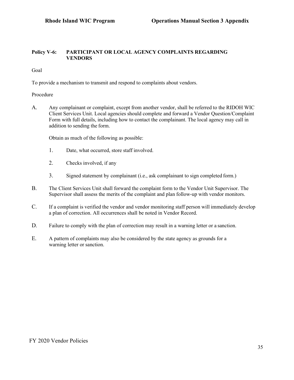### **Policy V-6: PARTICIPANT OR LOCAL AGENCY COMPLAINTS REGARDING VENDORS**

Goal

To provide a mechanism to transmit and respond to complaints about vendors.

### Procedure

A. Any complainant or complaint, except from another vendor, shall be referred to the RIDOH WIC Client Services Unit. Local agencies should complete and forward a Vendor Question/Complaint Form with full details, including how to contact the complainant. The local agency may call in addition to sending the form.

Obtain as much of the following as possible:

- 1. Date, what occurred, store staff involved.
- 2. Checks involved, if any
- 3. Signed statement by complainant (i.e., ask complainant to sign completed form.)
- B. The Client Services Unit shall forward the complaint form to the Vendor Unit Supervisor. The Supervisor shall assess the merits of the complaint and plan follow-up with vendor monitors.
- C. If a complaint is verified the vendor and vendor monitoring staff person will immediately develop a plan of correction. All occurrences shall be noted in Vendor Record.
- D. Failure to comply with the plan of correction may result in a warning letter or a sanction.
- E. A pattern of complaints may also be considered by the state agency as grounds for a warning letter or sanction.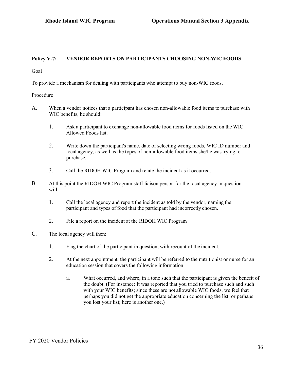### **Policy V-7: VENDOR REPORTS ON PARTICIPANTS CHOOSING NON-WIC FOODS**

Goal

To provide a mechanism for dealing with participants who attempt to buy non-WIC foods.

#### Procedure

- A. When a vendor notices that a participant has chosen non-allowable food items to purchase with WIC benefits, he should:
	- 1. Ask a participant to exchange non-allowable food items for foods listed on the WIC Allowed Foods list.
	- 2. Write down the participant's name, date of selecting wrong foods, WIC ID number and local agency, as well as the types of non-allowable food items she/he wastrying to purchase.
	- 3. Call the RIDOH WIC Program and relate the incident as it occurred.
- B. At this point the RIDOH WIC Program staff liaison person for the local agency in question will:
	- 1. Call the local agency and report the incident as told by the vendor, naming the participant and types of food that the participant had incorrectly chosen.
	- 2. File a report on the incident at the RIDOH WIC Program
- C. The local agency will then:
	- 1. Flag the chart of the participant in question, with recount of the incident.
	- 2. At the next appointment, the participant will be referred to the nutritionist or nurse for an education session that covers the following information:
		- a. What occurred, and where, in a tone such that the participant is given the benefit of the doubt. (For instance: It was reported that you tried to purchase such and such with your WIC benefits; since these are not allowable WIC foods, we feel that perhaps you did not get the appropriate education concerning the list, or perhaps you lost your list; here is another one.)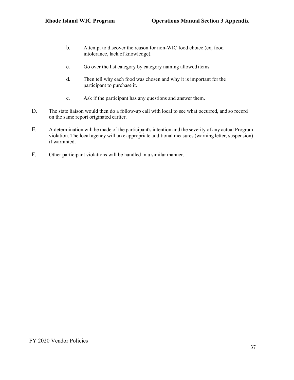- b. Attempt to discover the reason for non-WIC food choice (ex, food intolerance, lack of knowledge).
- c. Go over the list category by category naming allowed items.
- d. Then tell why each food was chosen and why it is important for the participant to purchase it.
- e. Ask if the participant has any questions and answer them.
- D. The state liaison would then do a follow-up call with local to see what occurred, and so record on the same report originated earlier.
- E. A determination will be made of the participant's intention and the severity of any actual Program violation. The local agency will take appropriate additional measures (warning letter, suspension) if warranted.
- F. Other participant violations will be handled in a similar manner.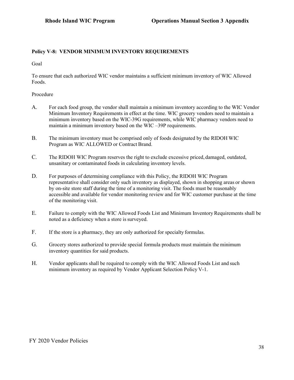# **Policy V-8: VENDOR MINIMUM INVENTORY REQUIREMENTS**

Goal

To ensure that each authorized WIC vendor maintains a sufficient minimum inventory of WIC Allowed Foods.

#### Procedure

- A. For each food group, the vendor shall maintain a minimum inventory according to the WIC Vendor Minimum Inventory Requirements in effect at the time. WIC grocery vendors need to maintain a minimum inventory based on the WIC-39G requirements, while WIC pharmacy vendors need to maintain a minimum inventory based on the WIC –39P requirements.
- B. The minimum inventory must be comprised only of foods designated by the RIDOH WIC Program as WIC ALLOWED or Contract Brand.
- C. The RIDOH WIC Program reserves the right to exclude excessive priced, damaged, outdated, unsanitary or contaminated foods in calculating inventory levels.
- D. For purposes of determining compliance with this Policy, the RIDOH WIC Program representative shall consider only such inventory as displayed, shown in shopping areas or shown by on-site store staff during the time of a monitoring visit. The foods must be reasonably accessible and available for vendor monitoring review and for WIC customer purchase at the time of the monitoring visit.
- E. Failure to comply with the WIC Allowed Foods List and Minimum InventoryRequirements shall be noted as a deficiency when a store is surveyed.
- F. If the store is a pharmacy, they are only authorized for specialty formulas.
- G. Grocery stores authorized to provide special formula products must maintain the minimum inventory quantities for said products.
- H. Vendor applicants shall be required to comply with the WIC Allowed Foods List and such minimum inventory as required by Vendor Applicant Selection Policy V-1.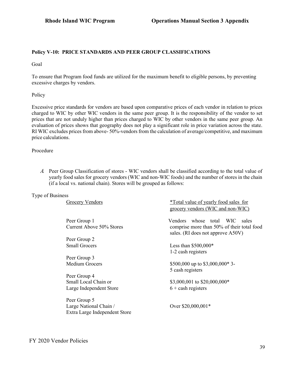#### **Policy V-10: PRICE STANDARDS AND PEER GROUP CLASSIFICATIONS**

Goal

To ensure that Program food funds are utilized for the maximum benefit to eligible persons, by preventing excessive charges by vendors.

Policy

Excessive price standards for vendors are based upon comparative prices of each vendor in relation to prices charged to WIC by other WIC vendors in the same peer group. It is the responsibility of the vendor to set prices that are not unduly higher than prices charged to WIC by other vendors in the same peer group. An evaluation of prices shows that geography does not play a significant role in price variation across the state. RI WIC excludes prices from above- 50%-vendors from the calculation of average/competitive, and maximum price calculations.

Procedure

*A.* Peer Group Classification of stores - WIC vendors shall be classified according to the total value of yearly food sales for grocery vendors (WIC and non-WIC foods) and the number of stores in the chain (if a local vs. national chain). Stores will be grouped as follows:

Type of Business

| Grocery Vendors                                         | *Total value of yearly food sales for<br>grocery vendors (WIC and non-WIC)      |
|---------------------------------------------------------|---------------------------------------------------------------------------------|
| Peer Group 1                                            | Vendors whose total<br>WIC -<br>sales                                           |
| Current Above 50% Stores                                | comprise more than 50% of their total food<br>sales. (RI does not approve A50V) |
| Peer Group 2                                            |                                                                                 |
| <b>Small Grocers</b>                                    | Less than $$500,000*$<br>1-2 cash registers                                     |
| Peer Group 3                                            |                                                                                 |
| Medium Grocers                                          | \$500,000 up to \$3,000,000* 3-<br>5 cash registers                             |
| Peer Group 4                                            |                                                                                 |
| Small Local Chain or                                    | \$3,000,001 to \$20,000,000*                                                    |
| Large Independent Store                                 | $6 +$ cash registers                                                            |
| Peer Group 5                                            |                                                                                 |
| Large National Chain /<br>Extra Large Independent Store | Over \$20,000,001*                                                              |
|                                                         |                                                                                 |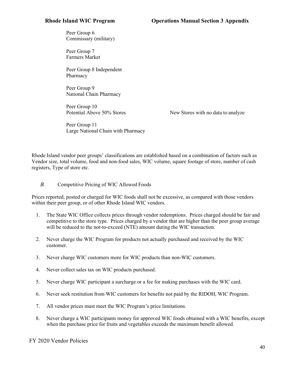Peer Group 6 Commissary (military)

Peer Group 7 Farmers Market

Peer Group 8 Independent Pharmacy

Peer Group 9 National Chain Pharmacy

Peer Group 10

Potential Above 50% Stores New Stores with no data to analyze

Peer Group 11 Large National Chain with Pharmacy

Rhode Island vendor peer groups' classifications are established based on a combination of factors such as Vendor size, total volume, food and non-food sales, WIC volume, square footage of store, number of cash registers, Type of store etc.

### *B.* Competitive Pricing of WIC Allowed Foods

Prices reported, posted or charged for WIC foods shall not be excessive, as compared with those vendors within their peer group, or of other Rhode Island WIC vendors.

- 1. The State WIC Office collects prices through vendor redemptions. Prices charged should be fair and competitive to the store type. Prices charged by a vendor that are higher than the peer group average will be reduced to the not-to-exceed (NTE) amount during the WIC transaction.
- 2. Never charge the WIC Program for products not actually purchased and received by the WIC customer.
- 3. Never charge WIC customers more for WIC products than non-WIC customers.
- 4. Never collect sales tax on WIC products purchased.
- 5. Never charge WIC participant a surcharge or a fee for making purchases with the WIC card.
- 6. Never seek restitution from WIC customers for benefits not paid by the RIDOH, WIC Program.
- 7. All vendor prices must meet the WIC Program's price limitations.
- 8. Never charge a WIC participants money for approved WIC foods obtained with a WIC benefits, except when the purchase price for fruits and vegetables exceeds the maximum benefit allowed.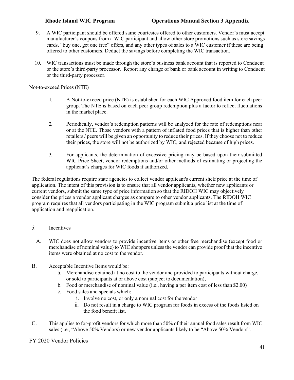- 9. A WIC participant should be offered same courtesies offered to other customers. Vendor's must accept manufacturer's coupons from a WIC participant and allow other store promotions such as store savings cards, "buy one, get one free" offers, and any other types of sales to a WIC customer if these are being offered to other customers. Deduct the savings before completing the WIC transaction.
- 10. WIC transactions must be made through the store's business bank account that is reported to Conduent or the store's third-party processor. Report any change of bank or bank account in writing to Conduent or the third-party processor.

Not-to-exceed Prices (NTE)

- 1. A Not-to-exceed price (NTE) is established for each WIC Approved food item for each peer group. The NTE is based on each peer group redemption plus a factor to reflect fluctuations in the market place.
- 2. Periodically, vendor's redemption patterns will be analyzed for the rate of redemptions near or at the NTE. Those vendors with a pattern of inflated food prices that is higher than other retailers / peers will be given an opportunity to reduce their prices. If they choose not to reduce their prices, the store will not be authorized by WIC, and rejected because of high prices.
- 3. For applicants, the determination of excessive pricing may be based upon their submitted WIC Price Sheet, vendor redemptions and/or other methods of estimating or projecting the applicant's charges for WIC foods if authorized.

The federal regulations require state agencies to collect vendor applicant's current shelf price at the time of application. The intent of this provision is to ensure that all vendor applicants, whether new applicants or current vendors, submit the same type of price information so that the RIDOH WIC may objectively consider the prices a vendor applicant charges as compare to other vendor applicants. The RIDOH WIC program requires that all vendors participating in the WIC program submit a price list at the time of application and reapplication.

### *3.* Incentives

- A. WIC does not allow vendors to provide incentive items or other free merchandise (except food or merchandise of nominal value) to WIC shoppers unless the vendor can provide proof that the incentive items were obtained at no cost to the vendor.
- B. Acceptable Incentive Items would be:
	- a. Merchandise obtained at no cost to the vendor and provided to participants without charge, or sold to participants at or above cost (subject to documentation),
	- b. Food or merchandise of nominal value (i.e., having a per item cost of less than \$2.00)
	- c. Food sales and specials which:
		- i. Involve no cost, or only a nominal cost for the vendor
		- ii. Do not result in a charge to WIC program for foods in excess of the foods listed on the food benefit list.
- C. This applies to for**-**profit vendors for which more than 50% of their annual food sales result from WIC sales (i.e., "Above 50% Vendors) or new vendor applicants likely to be "Above 50% Vendors".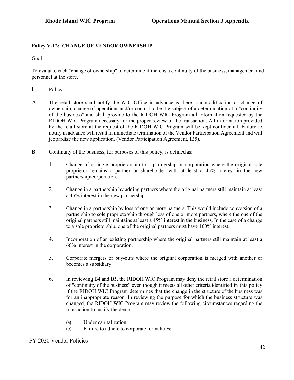# **Policy V-12: CHANGE OF VENDOR OWNERSHIP**

Goal

To evaluate each "change of ownership" to determine if there is a continuity of the business, management and personnel at the store.

- I. Policy
- A. The retail store shall notify the WIC Office in advance is there is a modification or change of ownership, change of operations and/or control to be the subject of a determination of a "continuity of the business" and shall provide to the RIDOH WIC Program all information requested by the RIDOH WIC Program necessary for the proper review of the transaction. All information provided by the retail store at the request of the RIDOH WIC Program will be kept confidential. Failure to notify in advance will result in immediate termination of the Vendor Participation Agreement and will jeopardize the new application. (Vendor Participation Agreement, IB5).
- B. Continuity of the business, for purposes of this policy, is defined as:
	- 1. Change of a single proprietorship to a partnership or corporation where the original sole proprietor remains a partner or shareholder with at least a 45% interest in the new partnership/corporation.
	- 2. Change in a partnership by adding partners where the original partners still maintain at least a 45% interest in the new partnership.
	- 3. Change in a partnership by loss of one or more partners. This would include conversion of a partnership to sole proprietorship through loss of one or more partners, where the one of the original partners still maintains at least a 45% interest in the business. In the case of a change to a sole proprietorship, one of the original partners must have 100% interest.
	- 4. Incorporation of an existing partnership where the original partners still maintain at least a 66% interest in the corporation.
	- 5. Corporate mergers or buy-outs where the original corporation is merged with another or becomes a subsidiary.
	- 6. In reviewing B4 and B5, the RIDOH WIC Program may deny the retail store a determination of "continuity of the business" even though it meets all other criteria identified in this policy if the RIDOH WIC Program determines that the change in the structure of the business was for an inappropriate reason. In reviewing the purpose for which the business structure was changed, the RIDOH WIC Program may review the following circumstances regarding the transaction to justify the denial:
		- (a) Under capitalization;
		- (b) Failure to adhere to corporate formalities;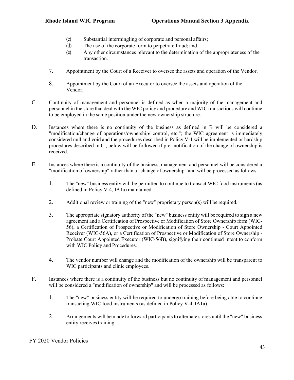- (c) Substantial intermingling of corporate and personal affairs;
- (d) The use of the corporate form to perpetrate fraud; and
- (e) Any other circumstances relevant to the determination of the appropriateness of the transaction.
- 7. Appointment by the Court of a Receiver to oversee the assets and operation of the Vendor.
- 8. Appointment by the Court of an Executor to oversee the assets and operation of the Vendor.
- C. Continuity of management and personnel is defined as when a majority of the management and personnel in the store that deal with the WIC policy and procedure and WIC transactions will continue to be employed in the same position under the new ownership structure.
- D. Instances where there is no continuity of the business as defined in B will be considered a "modification/change of operations/ownership/ control, etc."; the WIC agreement is immediately considered null and void and the procedures described in Policy V-1 will be implemented or hardship procedures described in C., below will be followed if pre- notification of the change of ownership is received.
- E. Instances where there is a continuity of the business, management and personnel will be considered a "modification of ownership" rather than a "change of ownership" and will be processed as follows:
	- 1. The "new" business entity will be permitted to continue to transact WIC food instruments (as defined in Policy V-4, IA1a) maintained.
	- 2. Additional review or training of the "new" proprietary person(s) will be required.
	- 3. The appropriate signatory authority of the "new" business entity will be required to sign a new agreement and a Certification of Prospective or Modification of Store Ownership form (WIC-56), a Certification of Prospective or Modification of Store Ownership - Court Appointed Receiver (WIC-56A), or a Certification of Prospective or Modification of Store Ownership - Probate Court Appointed Executor (WIC-56B), signifying their continued intent to conform with WIC Policy and Procedures.
	- 4. The vendor number will change and the modification of the ownership will be transparent to WIC participants and clinic employees.
- F. Instances where there is a continuity of the business but no continuity of management and personnel will be considered a "modification of ownership" and will be processed as follows:
	- 1. The "new" business entity will be required to undergo training before being able to continue transacting WIC food instruments (as defined in Policy V-4, IA1a).
	- 2. Arrangements will be made to forward participants to alternate stores until the "new" business entity receives training.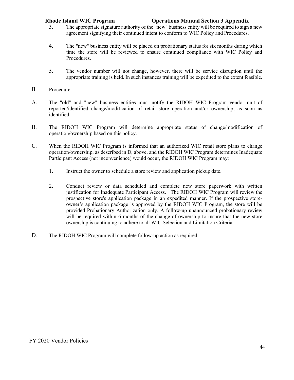- 3. The appropriate signature authority of the "new" business entity will be required to sign a new agreement signifying their continued intent to conform to WIC Policy and Procedures.
- 4. The "new" business entity will be placed on probationary status for six months during which time the store will be reviewed to ensure continued compliance with WIC Policy and Procedures.
- 5. The vendor number will not change, however, there will be service disruption until the appropriate training is held. In such instances training will be expedited to the extent feasible.
- II. Procedure
- A. The "old" and "new" business entities must notify the RIDOH WIC Program vendor unit of reported/identified change/modification of retail store operation and/or ownership, as soon as identified.
- B. The RIDOH WIC Program will determine appropriate status of change/modification of operation/ownership based on this policy.
- C. When the RIDOH WIC Program is informed that an authorized WIC retail store plans to change operation/ownership, as described in D, above, and the RIDOH WIC Program determines Inadequate Participant Access (not inconvenience) would occur, the RIDOH WIC Program may:
	- 1. Instruct the owner to schedule a store review and application pickup date.
	- 2. Conduct review or data scheduled and complete new store paperwork with written justification for Inadequate Participant Access. The RIDOH WIC Program will review the prospective store's application package in an expedited manner. If the prospective storeowner's application package is approved by the RIDOH WIC Program, the store will be provided Probationary Authorization only. A follow-up unannounced probationary review will be required within 6 months of the change of ownership to insure that the new store ownership is continuing to adhere to all WIC Selection and Limitation Criteria.
- D. The RIDOH WIC Program will complete follow-up action as required.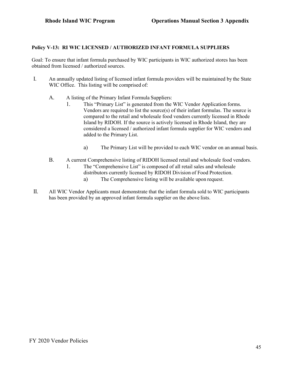# **Policy V-13: RI WIC LICENSED / AUTHORIZED INFANT FORMULA SUPPLIERS**

Goal: To ensure that infant formula purchased by WIC participants in WIC authorized stores has been obtained from licensed / authorized sources.

- I. An annually updated listing of licensed infant formula providers will be maintained by the State WIC Office. This listing will be comprised of:
	- A. A listing of the Primary Infant Formula Suppliers:
		- 1. This "Primary List" is generated from the WIC Vendor Application forms. Vendors are required to list the source(s) of their infant formulas. The source is compared to the retail and wholesale food vendors currently licensed in Rhode Island by RIDOH. If the source is actively licensed in Rhode Island, they are considered a licensed / authorized infant formula supplier for WIC vendors and added to the Primary List.
			- a) The Primary List will be provided to each WIC vendor on an annual basis.
	- B. A current Comprehensive listing of RIDOH licensed retail and wholesale food vendors.
		- 1. The "Comprehensive List" is composed of all retail sales and wholesale
			- distributors currently licensed by RIDOH Division of Food Protection.
				- a) The Comprehensive listing will be available upon request.
- II. All WIC Vendor Applicants must demonstrate that the infant formula sold to WIC participants has been provided by an approved infant formula supplier on the above lists.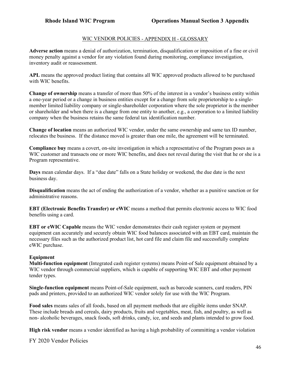# WIC VENDOR POLICIES - APPENDIX H - GLOSSARY

**Adverse action** means a denial of authorization, termination, disqualification or imposition of a fine or civil money penalty against a vendor for any violation found during monitoring, compliance investigation, inventory audit or reassessment.

**APL** means the approved product listing that contains all WIC approved products allowed to be purchased with WIC benefits.

**Change of ownership** means a transfer of more than 50% of the interest in a vendor's business entity within a one-year period or a change in business entities except for a change from sole proprietorship to a singlemember limited liability company or single-shareholder corporation where the sole proprietor is the member or shareholder and when there is a change from one entity to another, e.g., a corporation to a limited liability company when the business retains the same federal tax identification number.

**Change of location** means an authorized WIC vendor, under the same ownership and same tax ID number, relocates the business. If the distance moved is greater than one mile, the agreement will be terminated.

**Compliance buy** means a covert, on-site investigation in which a representative of the Program poses as a WIC customer and transacts one or more WIC benefits, and does not reveal during the visit that he or she is a Program representative.

**Days** mean calendar days. If a "due date" falls on a State holiday or weekend, the due date is the next business day.

**Disqualification** means the act of ending the authorization of a vendor, whether as a punitive sanction or for administrative reasons.

**EBT (Electronic Benefits Transfer) or eWIC** means a method that permits electronic access to WIC food benefits using a card.

**EBT or eWIC Capable** means the WIC vendor demonstrates their cash register system or payment equipment can accurately and securely obtain WIC food balances associated with an EBT card, maintain the necessary files such as the authorized product list, hot card file and claim file and successfully complete eWIC purchase.

#### **Equipment**

**Multi-function equipment** (Integrated cash register systems) means Point-of Sale equipment obtained by a WIC vendor through commercial suppliers, which is capable of supporting WIC EBT and other payment tender types.

**Single-function equipment** means Point-of-Sale equipment, such as barcode scanners, card readers, PIN pads and printers, provided to an authorized WIC vendor solely for use with the WIC Program.

**Food sales** means sales of all foods, based on all payment methods that are eligible items under SNAP. These include breads and cereals, dairy products, fruits and vegetables, meat, fish, and poultry, as well as non- alcoholic beverages, snack foods, soft drinks, candy, ice, and seeds and plants intended to grow food.

**High risk vendor** means a vendor identified as having a high probability of committing a vendor violation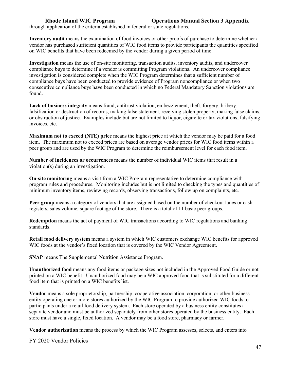through application of the criteria established in federal or state regulations.

**Inventory audit** means the examination of food invoices or other proofs of purchase to determine whether a vendor has purchased sufficient quantities of WIC food items to provide participants the quantities specified on WIC benefits that have been redeemed by the vendor during a given period of time.

**Investigation** means the use of on-site monitoring, transaction audits, inventory audits, and undercover compliance buys to determine if a vendor is committing Program violations. An undercover compliance investigation is considered complete when the WIC Program determines that a sufficient number of compliance buys have been conducted to provide evidence of Program noncompliance or when two consecutive compliance buys have been conducted in which no Federal Mandatory Sanction violations are found.

**Lack of business integrity** means fraud, antitrust violation, embezzlement, theft, forgery, bribery, falsification or destruction of records, making false statement, receiving stolen property, making false claims, or obstruction of justice. Examples include but are not limited to liquor, cigarette or tax violations, falsifying invoices, etc.

**Maximum not to exceed (NTE) price** means the highest price at which the vendor may be paid for a food item. The maximum not to exceed prices are based on average vendor prices for WIC food items within a peer group and are used by the WIC Program to determine the reimbursement level for each food item.

**Number of incidences or occurrences** means the number of individual WIC items that result in a violation(s) during an investigation.

**On-site monitoring** means a visit from a WIC Program representative to determine compliance with program rules and procedures. Monitoring includes but is not limited to checking the types and quantities of minimum inventory items, reviewing records, observing transactions, follow up on complaints, etc.

**Peer group** means a category of vendors that are assigned based on the number of checkout lanes or cash registers, sales volume, square footage of the store. There is a total of 11 basic peer groups.

**Redemption** means the act of payment of WIC transactions according to WIC regulations and banking standards.

**Retail food delivery system** means a system in which WIC customers exchange WIC benefits for approved WIC foods at the vendor's fixed location that is covered by the WIC Vendor Agreement.

**SNAP** means The Supplemental Nutrition Assistance Program.

**Unauthorized food** means any food items or package sizes not included in the Approved Food Guide or not printed on a WIC benefit. Unauthorized food may be a WIC approved food that is substituted for a different food item that is printed on a WIC benefits list.

**Vendor** means a sole proprietorship, partnership, cooperative association, corporation, or other business entity operating one or more stores authorized by the WIC Program to provide authorized WIC foods to participants under a retail food delivery system. Each store operated by a business entity constitutes a separate vendor and must be authorized separately from other stores operated by the business entity. Each store must have a single, fixed location. A vendor may be a food store, pharmacy or farmer.

**Vendor authorization** means the process by which the WIC Program assesses, selects, and enters into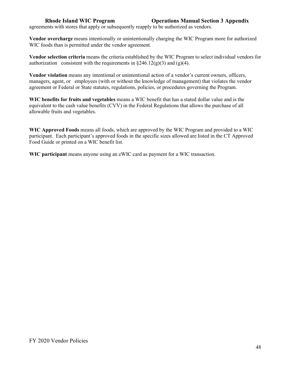agreements with stores that apply or subsequently reapply to be authorized as vendors.

**Vendor overcharge** means intentionally or unintentionally charging the WIC Program more for authorized WIC foods than is permitted under the vendor agreement.

**Vendor selection criteria** means the criteria established by the WIC Program to select individual vendors for authorization consistent with the requirements in  $\S246.12(g)(3)$  and (g)(4).

**Vendor violation** means any intentional or unintentional action of a vendor's current owners, officers, managers, agent, or employees (with or without the knowledge of management) that violates the vendor agreement or Federal or State statutes, regulations, policies, or procedures governing the Program.

**WIC benefits for fruits and vegetables** means a WIC benefit that has a stated dollar value and is the equivalent to the cash value benefits (CVV) in the Federal Regulations that allows the purchase of all allowable fruits and vegetables.

**WIC Approved Foods** means all foods, which are approved by the WIC Program and provided to a WIC participant. Each participant's approved foods in the specific sizes allowed are listed in the CT Approved Food Guide or printed on a WIC benefit list.

**WIC participant** means anyone using an eWIC card as payment for a WIC transaction.